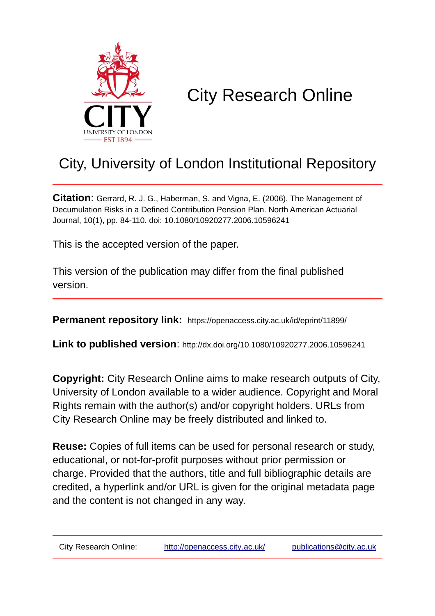

# City Research Online

## City, University of London Institutional Repository

**Citation**: Gerrard, R. J. G., Haberman, S. and Vigna, E. (2006). The Management of Decumulation Risks in a Defined Contribution Pension Plan. North American Actuarial Journal, 10(1), pp. 84-110. doi: 10.1080/10920277.2006.10596241

This is the accepted version of the paper.

This version of the publication may differ from the final published version.

**Permanent repository link:** https://openaccess.city.ac.uk/id/eprint/11899/

**Link to published version**: http://dx.doi.org/10.1080/10920277.2006.10596241

**Copyright:** City Research Online aims to make research outputs of City, University of London available to a wider audience. Copyright and Moral Rights remain with the author(s) and/or copyright holders. URLs from City Research Online may be freely distributed and linked to.

**Reuse:** Copies of full items can be used for personal research or study, educational, or not-for-profit purposes without prior permission or charge. Provided that the authors, title and full bibliographic details are credited, a hyperlink and/or URL is given for the original metadata page and the content is not changed in any way.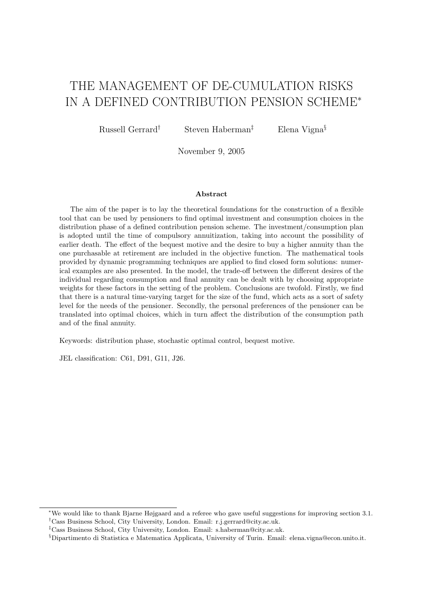## THE MANAGEMENT OF DE-CUMULATION RISKS IN A DEFINED CONTRIBUTION PENSION SCHEME<sup>∗</sup>

Russell Gerrard† Steven Haberman‡ Elena Vigna§

November 9, 2005

#### Abstract

The aim of the paper is to lay the theoretical foundations for the construction of a flexible tool that can be used by pensioners to find optimal investment and consumption choices in the distribution phase of a defined contribution pension scheme. The investment/consumption plan is adopted until the time of compulsory annuitization, taking into account the possibility of earlier death. The effect of the bequest motive and the desire to buy a higher annuity than the one purchasable at retirement are included in the objective function. The mathematical tools provided by dynamic programming techniques are applied to find closed form solutions: numerical examples are also presented. In the model, the trade-off between the different desires of the individual regarding consumption and final annuity can be dealt with by choosing appropriate weights for these factors in the setting of the problem. Conclusions are twofold. Firstly, we find that there is a natural time-varying target for the size of the fund, which acts as a sort of safety level for the needs of the pensioner. Secondly, the personal preferences of the pensioner can be translated into optimal choices, which in turn affect the distribution of the consumption path and of the final annuity.

Keywords: distribution phase, stochastic optimal control, bequest motive.

JEL classification: C61, D91, G11, J26.

<sup>∗</sup>We would like to thank Bjarne Højgaard and a referee who gave useful suggestions for improving section 3.1. †Cass Business School, City University, London. Email: r.j.gerrard@city.ac.uk.

<sup>‡</sup>Cass Business School, City University, London. Email: s.haberman@city.ac.uk.

<sup>§</sup>Dipartimento di Statistica e Matematica Applicata, University of Turin. Email: elena.vigna@econ.unito.it.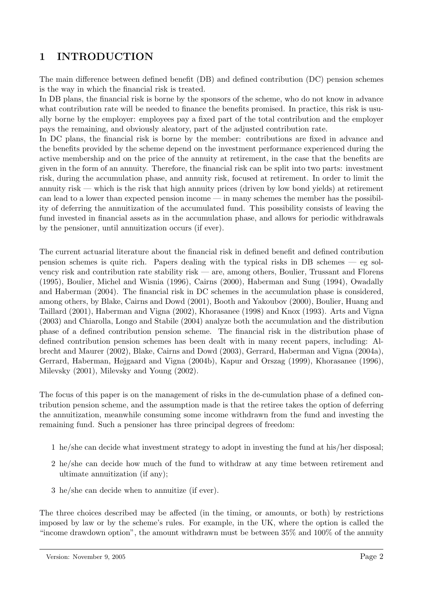## 1 INTRODUCTION

The main difference between defined benefit (DB) and defined contribution (DC) pension schemes is the way in which the financial risk is treated.

In DB plans, the financial risk is borne by the sponsors of the scheme, who do not know in advance what contribution rate will be needed to finance the benefits promised. In practice, this risk is usually borne by the employer: employees pay a fixed part of the total contribution and the employer pays the remaining, and obviously aleatory, part of the adjusted contribution rate.

In DC plans, the financial risk is borne by the member: contributions are fixed in advance and the benefits provided by the scheme depend on the investment performance experienced during the active membership and on the price of the annuity at retirement, in the case that the benefits are given in the form of an annuity. Therefore, the financial risk can be split into two parts: investment risk, during the accumulation phase, and annuity risk, focused at retirement. In order to limit the annuity risk — which is the risk that high annuity prices (driven by low bond yields) at retirement can lead to a lower than expected pension income — in many schemes the member has the possibility of deferring the annuitization of the accumulated fund. This possibility consists of leaving the fund invested in financial assets as in the accumulation phase, and allows for periodic withdrawals by the pensioner, until annuitization occurs (if ever).

The current actuarial literature about the financial risk in defined benefit and defined contribution pension schemes is quite rich. Papers dealing with the typical risks in DB schemes — eg solvency risk and contribution rate stability risk — are, among others, Boulier, Trussant and Florens (1995), Boulier, Michel and Wisnia (1996), Cairns (2000), Haberman and Sung (1994), Owadally and Haberman (2004). The financial risk in DC schemes in the accumulation phase is considered, among others, by Blake, Cairns and Dowd (2001), Booth and Yakoubov (2000), Boulier, Huang and Taillard (2001), Haberman and Vigna (2002), Khorasanee (1998) and Knox (1993). Arts and Vigna (2003) and Chiarolla, Longo and Stabile (2004) analyze both the accumulation and the distribution phase of a defined contribution pension scheme. The financial risk in the distribution phase of defined contribution pension schemes has been dealt with in many recent papers, including: Albrecht and Maurer (2002), Blake, Cairns and Dowd (2003), Gerrard, Haberman and Vigna (2004a), Gerrard, Haberman, Højgaard and Vigna (2004b), Kapur and Orszag (1999), Khorasanee (1996), Milevsky (2001), Milevsky and Young (2002).

The focus of this paper is on the management of risks in the de-cumulation phase of a defined contribution pension scheme, and the assumption made is that the retiree takes the option of deferring the annuitization, meanwhile consuming some income withdrawn from the fund and investing the remaining fund. Such a pensioner has three principal degrees of freedom:

- 1 he/she can decide what investment strategy to adopt in investing the fund at his/her disposal;
- 2 he/she can decide how much of the fund to withdraw at any time between retirement and ultimate annuitization (if any);
- 3 he/she can decide when to annuitize (if ever).

The three choices described may be affected (in the timing, or amounts, or both) by restrictions imposed by law or by the scheme's rules. For example, in the UK, where the option is called the "income drawdown option", the amount withdrawn must be between 35% and 100% of the annuity

Version: November 9, 2005 Page 2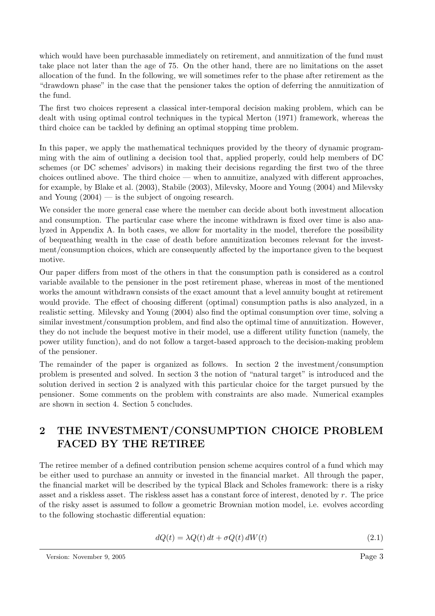which would have been purchasable immediately on retirement, and annuitization of the fund must take place not later than the age of 75. On the other hand, there are no limitations on the asset allocation of the fund. In the following, we will sometimes refer to the phase after retirement as the "drawdown phase" in the case that the pensioner takes the option of deferring the annuitization of the fund.

The first two choices represent a classical inter-temporal decision making problem, which can be dealt with using optimal control techniques in the typical Merton (1971) framework, whereas the third choice can be tackled by defining an optimal stopping time problem.

In this paper, we apply the mathematical techniques provided by the theory of dynamic programming with the aim of outlining a decision tool that, applied properly, could help members of DC schemes (or DC schemes' advisors) in making their decisions regarding the first two of the three choices outlined above. The third choice — when to annuitize, analyzed with different approaches, for example, by Blake et al. (2003), Stabile (2003), Milevsky, Moore and Young (2004) and Milevsky and Young  $(2004)$  — is the subject of ongoing research.

We consider the more general case where the member can decide about both investment allocation and consumption. The particular case where the income withdrawn is fixed over time is also analyzed in Appendix A. In both cases, we allow for mortality in the model, therefore the possibility of bequeathing wealth in the case of death before annuitization becomes relevant for the investment/consumption choices, which are consequently affected by the importance given to the bequest motive.

Our paper differs from most of the others in that the consumption path is considered as a control variable available to the pensioner in the post retirement phase, whereas in most of the mentioned works the amount withdrawn consists of the exact amount that a level annuity bought at retirement would provide. The effect of choosing different (optimal) consumption paths is also analyzed, in a realistic setting. Milevsky and Young (2004) also find the optimal consumption over time, solving a similar investment/consumption problem, and find also the optimal time of annuitization. However, they do not include the bequest motive in their model, use a different utility function (namely, the power utility function), and do not follow a target-based approach to the decision-making problem of the pensioner.

The remainder of the paper is organized as follows. In section 2 the investment/consumption problem is presented and solved. In section 3 the notion of "natural target" is introduced and the solution derived in section 2 is analyzed with this particular choice for the target pursued by the pensioner. Some comments on the problem with constraints are also made. Numerical examples are shown in section 4. Section 5 concludes.

## 2 THE INVESTMENT/CONSUMPTION CHOICE PROBLEM FACED BY THE RETIREE

The retiree member of a defined contribution pension scheme acquires control of a fund which may be either used to purchase an annuity or invested in the financial market. All through the paper, the financial market will be described by the typical Black and Scholes framework: there is a risky asset and a riskless asset. The riskless asset has a constant force of interest, denoted by r. The price of the risky asset is assumed to follow a geometric Brownian motion model, i.e. evolves according to the following stochastic differential equation:

$$
dQ(t) = \lambda Q(t) dt + \sigma Q(t) dW(t)
$$
\n(2.1)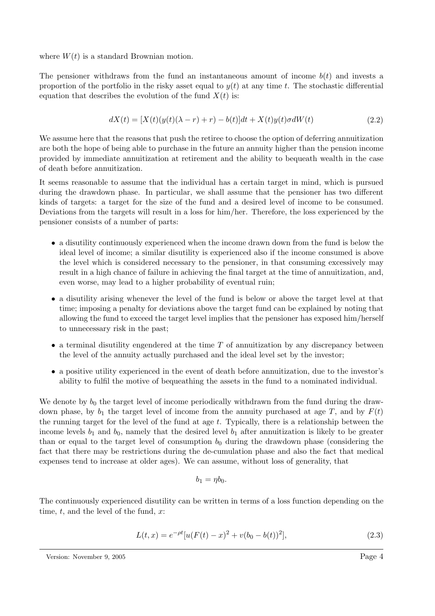where  $W(t)$  is a standard Brownian motion.

The pensioner withdraws from the fund an instantaneous amount of income  $b(t)$  and invests a proportion of the portfolio in the risky asset equal to  $y(t)$  at any time t. The stochastic differential equation that describes the evolution of the fund  $X(t)$  is:

$$
dX(t) = [X(t)(y(t)(\lambda - r) + r) - b(t)]dt + X(t)y(t)\sigma dW(t)
$$
\n(2.2)

We assume here that the reasons that push the retiree to choose the option of deferring annuitization are both the hope of being able to purchase in the future an annuity higher than the pension income provided by immediate annuitization at retirement and the ability to bequeath wealth in the case of death before annuitization.

It seems reasonable to assume that the individual has a certain target in mind, which is pursued during the drawdown phase. In particular, we shall assume that the pensioner has two different kinds of targets: a target for the size of the fund and a desired level of income to be consumed. Deviations from the targets will result in a loss for him/her. Therefore, the loss experienced by the pensioner consists of a number of parts:

- a disutility continuously experienced when the income drawn down from the fund is below the ideal level of income; a similar disutility is experienced also if the income consumed is above the level which is considered necessary to the pensioner, in that consuming excessively may result in a high chance of failure in achieving the final target at the time of annuitization, and, even worse, may lead to a higher probability of eventual ruin;
- a disutility arising whenever the level of the fund is below or above the target level at that time; imposing a penalty for deviations above the target fund can be explained by noting that allowing the fund to exceed the target level implies that the pensioner has exposed him/herself to unnecessary risk in the past;
- a terminal disutility engendered at the time  $T$  of annuitization by any discrepancy between the level of the annuity actually purchased and the ideal level set by the investor;
- a positive utility experienced in the event of death before annuitization, due to the investor's ability to fulfil the motive of bequeathing the assets in the fund to a nominated individual.

We denote by  $b_0$  the target level of income periodically withdrawn from the fund during the drawdown phase, by  $b_1$  the target level of income from the annuity purchased at age T, and by  $F(t)$ the running target for the level of the fund at age  $t$ . Typically, there is a relationship between the income levels  $b_1$  and  $b_0$ , namely that the desired level  $b_1$  after annuitization is likely to be greater than or equal to the target level of consumption  $b_0$  during the drawdown phase (considering the fact that there may be restrictions during the de-cumulation phase and also the fact that medical expenses tend to increase at older ages). We can assume, without loss of generality, that

$$
b_1=\eta b_0.
$$

The continuously experienced disutility can be written in terms of a loss function depending on the time,  $t$ , and the level of the fund,  $x$ :

$$
L(t,x) = e^{-\rho t} [u(F(t) - x)^2 + v(b_0 - b(t))^2],
$$
\n(2.3)

Version: November 9, 2005 Page 4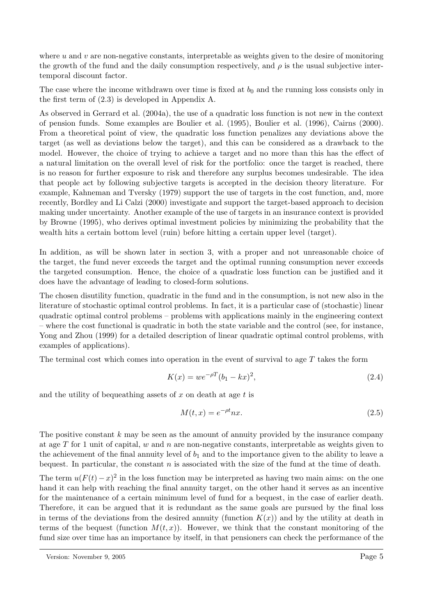where  $u$  and  $v$  are non-negative constants, interpretable as weights given to the desire of monitoring the growth of the fund and the daily consumption respectively, and  $\rho$  is the usual subjective intertemporal discount factor.

The case where the income withdrawn over time is fixed at  $b_0$  and the running loss consists only in the first term of (2.3) is developed in Appendix A.

As observed in Gerrard et al. (2004a), the use of a quadratic loss function is not new in the context of pension funds. Some examples are Boulier et al. (1995), Boulier et al. (1996), Cairns (2000). From a theoretical point of view, the quadratic loss function penalizes any deviations above the target (as well as deviations below the target), and this can be considered as a drawback to the model. However, the choice of trying to achieve a target and no more than this has the effect of a natural limitation on the overall level of risk for the portfolio: once the target is reached, there is no reason for further exposure to risk and therefore any surplus becomes undesirable. The idea that people act by following subjective targets is accepted in the decision theory literature. For example, Kahneman and Tversky (1979) support the use of targets in the cost function, and, more recently, Bordley and Li Calzi (2000) investigate and support the target-based approach to decision making under uncertainty. Another example of the use of targets in an insurance context is provided by Browne (1995), who derives optimal investment policies by minimizing the probability that the wealth hits a certain bottom level (ruin) before hitting a certain upper level (target).

In addition, as will be shown later in section 3, with a proper and not unreasonable choice of the target, the fund never exceeds the target and the optimal running consumption never exceeds the targeted consumption. Hence, the choice of a quadratic loss function can be justified and it does have the advantage of leading to closed-form solutions.

The chosen disutility function, quadratic in the fund and in the consumption, is not new also in the literature of stochastic optimal control problems. In fact, it is a particular case of (stochastic) linear quadratic optimal control problems – problems with applications mainly in the engineering context – where the cost functional is quadratic in both the state variable and the control (see, for instance, Yong and Zhou (1999) for a detailed description of linear quadratic optimal control problems, with examples of applications).

The terminal cost which comes into operation in the event of survival to age T takes the form

$$
K(x) = we^{-\rho T} (b_1 - kx)^2,
$$
\n(2.4)

and the utility of bequeathing assets of  $x$  on death at age  $t$  is

$$
M(t,x) = e^{-\rho t} n x.
$$
\n
$$
(2.5)
$$

The positive constant  $k$  may be seen as the amount of annuity provided by the insurance company at age T for 1 unit of capital, w and n are non-negative constants, interpretable as weights given to the achievement of the final annuity level of  $b_1$  and to the importance given to the ability to leave a bequest. In particular, the constant  $n$  is associated with the size of the fund at the time of death.

The term  $u(F(t)-x)^2$  in the loss function may be interpreted as having two main aims: on the one hand it can help with reaching the final annuity target, on the other hand it serves as an incentive for the maintenance of a certain minimum level of fund for a bequest, in the case of earlier death. Therefore, it can be argued that it is redundant as the same goals are pursued by the final loss in terms of the deviations from the desired annuity (function  $K(x)$ ) and by the utility at death in terms of the bequest (function  $M(t, x)$ ). However, we think that the constant monitoring of the fund size over time has an importance by itself, in that pensioners can check the performance of the

Version: November 9, 2005 Page 5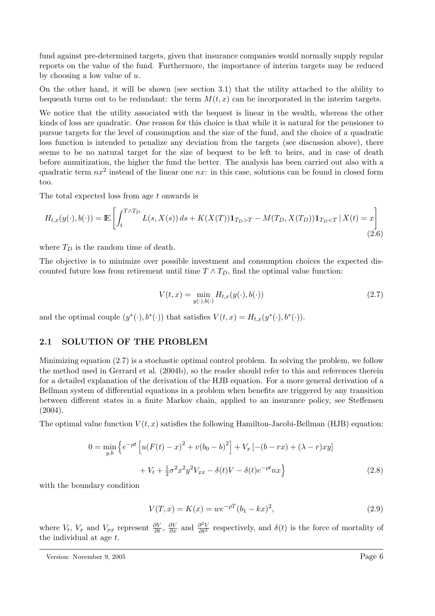fund against pre-determined targets, given that insurance companies would normally supply regular reports on the value of the fund. Furthermore, the importance of interim targets may be reduced by choosing a low value of  $u$ .

On the other hand, it will be shown (see section 3.1) that the utility attached to the ability to bequeath turns out to be redundant: the term  $M(t, x)$  can be incorporated in the interim targets.

We notice that the utility associated with the bequest is linear in the wealth, whereas the other kinds of loss are quadratic. One reason for this choice is that while it is natural for the pensioner to pursue targets for the level of consumption and the size of the fund, and the choice of a quadratic loss function is intended to penalize any deviation from the targets (see discussion above), there seems to be no natural target for the size of bequest to be left to heirs, and in case of death before annuitization, the higher the fund the better. The analysis has been carried out also with a quadratic term  $nx^2$  instead of the linear one nx: in this case, solutions can be found in closed form too.

The total expected loss from age t onwards is

$$
H_{t,x}(y(\cdot),b(\cdot)) = \mathbb{E}\left[\int_{t}^{T \wedge T_D} L(s,X(s))\,ds + K(X(T))\mathbf{1}_{T_D > T} - M(T_D,X(T_D))\mathbf{1}_{T_D < T} \,|\, X(t) = x\right]
$$
\n(2.6)

where  $T_D$  is the random time of death.

The objective is to minimize over possible investment and consumption choices the expected discounted future loss from retirement until time  $T \wedge T_D$ , find the optimal value function:

$$
V(t,x) = \min_{y(\cdot),b(\cdot)} H_{t,x}(y(\cdot),b(\cdot))
$$
\n(2.7)

and the optimal couple  $(y^*(\cdot), b^*(\cdot))$  that satisfies  $V(t, x) = H_{t,x}(y^*(\cdot), b^*(\cdot)).$ 

#### 2.1 SOLUTION OF THE PROBLEM

Minimizing equation (2.7) is a stochastic optimal control problem. In solving the problem, we follow the method used in Gerrard et al. (2004b), so the reader should refer to this and references therein for a detailed explanation of the derivation of the HJB equation. For a more general derivation of a Bellman system of differential equations in a problem when benefits are triggered by any transition between different states in a finite Markov chain, applied to an insurance policy, see Steffensen  $(2004).$ 

The optimal value function  $V(t, x)$  satisfies the following Hamilton-Jacobi-Bellman (HJB) equation:

$$
0 = \min_{y,b} \left\{ e^{-\rho t} \left[ u(F(t) - x)^2 + v(b_0 - b)^2 \right] + V_x \left[ -(b - rx) + (\lambda - r)xy \right] \right\}
$$
  
+  $V_t + \frac{1}{2} \sigma^2 x^2 y^2 V_{xx} - \delta(t) V - \delta(t) e^{-\rho t} n x \right\}$  (2.8)

with the boundary condition

$$
V(T, x) = K(x) = we^{-\rho T} (b_1 - kx)^2,
$$
\n(2.9)

where  $V_t$ ,  $V_x$  and  $V_{xx}$  represent  $\frac{\partial V}{\partial t}$ ,  $\frac{\partial V}{\partial x}$  and  $\frac{\partial^2 V}{\partial t^2}$  respectively, and  $\delta(t)$  is the force of mortality of the individual at age t.

Version: November 9, 2005 Page 6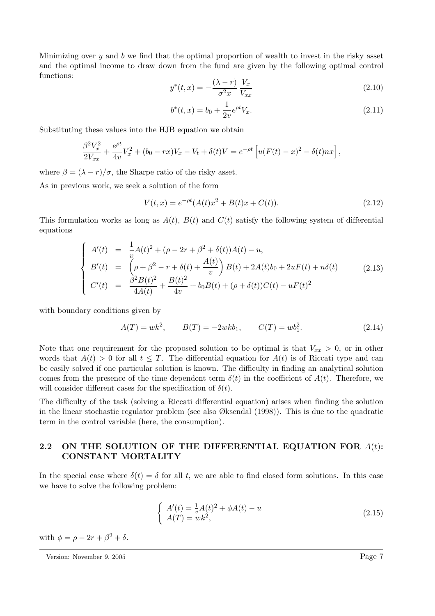Minimizing over  $\gamma$  and b we find that the optimal proportion of wealth to invest in the risky asset and the optimal income to draw down from the fund are given by the following optimal control functions:

$$
y^*(t,x) = -\frac{(\lambda - r)}{\sigma^2 x} \frac{V_x}{V_{xx}} \tag{2.10}
$$

$$
b^*(t, x) = b_0 + \frac{1}{2v} e^{\rho t} V_x.
$$
\n(2.11)

Substituting these values into the HJB equation we obtain

$$
\frac{\beta^2 V_x^2}{2V_{xx}} + \frac{e^{\rho t}}{4v} V_x^2 + (b_0 - rx)V_x - V_t + \delta(t)V = e^{-\rho t} \left[ u(F(t) - x)^2 - \delta(t)nx \right],
$$

where  $\beta = (\lambda - r)/\sigma$ , the Sharpe ratio of the risky asset.

As in previous work, we seek a solution of the form

$$
V(t,x) = e^{-\rho t} (A(t)x^2 + B(t)x + C(t)).
$$
\n(2.12)

This formulation works as long as  $A(t)$ ,  $B(t)$  and  $C(t)$  satisfy the following system of differential equations

$$
\begin{cases}\nA'(t) = \frac{1}{v}A(t)^2 + (\rho - 2r + \beta^2 + \delta(t))A(t) - u, \\
B'(t) = \left(\rho + \beta^2 - r + \delta(t) + \frac{A(t)}{v}\right)B(t) + 2A(t)b_0 + 2uF(t) + n\delta(t) \\
C'(t) = \frac{\beta^2B(t)^2}{4A(t)} + \frac{B(t)^2}{4v} + b_0B(t) + (\rho + \delta(t))C(t) - uF(t)^2\n\end{cases}
$$
\n(2.13)

with boundary conditions given by

$$
A(T) = wk^2, \qquad B(T) = -2wkb_1, \qquad C(T) = wb_1^2. \tag{2.14}
$$

Note that one requirement for the proposed solution to be optimal is that  $V_{xx} > 0$ , or in other words that  $A(t) > 0$  for all  $t \leq T$ . The differential equation for  $A(t)$  is of Riccati type and can be easily solved if one particular solution is known. The difficulty in finding an analytical solution comes from the presence of the time dependent term  $\delta(t)$  in the coefficient of  $A(t)$ . Therefore, we will consider different cases for the specification of  $\delta(t)$ .

The difficulty of the task (solving a Riccati differential equation) arises when finding the solution in the linear stochastic regulator problem (see also Øksendal (1998)). This is due to the quadratic term in the control variable (here, the consumption).

#### 2.2 ON THE SOLUTION OF THE DIFFERENTIAL EQUATION FOR  $A(t)$ : CONSTANT MORTALITY

In the special case where  $\delta(t) = \delta$  for all t, we are able to find closed form solutions. In this case we have to solve the following problem:

$$
\begin{cases}\nA'(t) = \frac{1}{v}A(t)^2 + \phi A(t) - u \\
A(T) = wk^2,\n\end{cases}
$$
\n(2.15)

with  $\phi = \rho - 2r + \beta^2 + \delta$ .

Version: November 9, 2005 Page 7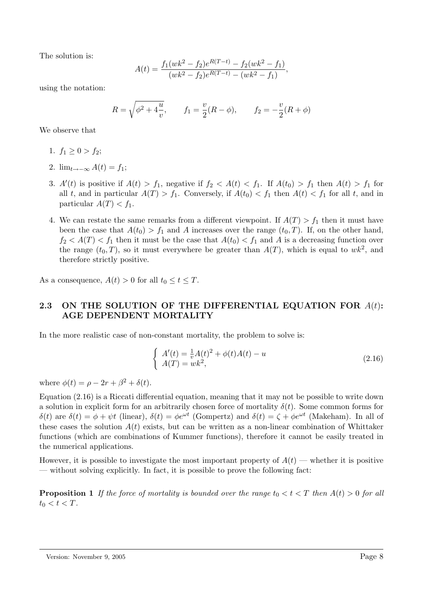The solution is:

$$
A(t) = \frac{f_1(wk^2 - f_2)e^{R(T-t)} - f_2(wk^2 - f_1)}{(wk^2 - f_2)e^{R(T-t)} - (wk^2 - f_1)},
$$

using the notation:

$$
R = \sqrt{\phi^2 + 4\frac{u}{v}},
$$
  $f_1 = \frac{v}{2}(R - \phi),$   $f_2 = -\frac{v}{2}(R + \phi)$ 

We observe that

- 1.  $f_1 \geq 0 > f_2$ ;
- 2.  $\lim_{t\to-\infty} A(t) = f_1;$
- 3.  $A'(t)$  is positive if  $A(t) > f_1$ , negative if  $f_2 < A(t) < f_1$ . If  $A(t_0) > f_1$  then  $A(t) > f_1$  for all t, and in particular  $A(T) > f_1$ . Conversely, if  $A(t_0) < f_1$  then  $A(t) < f_1$  for all t, and in particular  $A(T) < f_1$ .
- 4. We can restate the same remarks from a different viewpoint. If  $A(T) > f_1$  then it must have been the case that  $A(t_0) > f_1$  and A increases over the range  $(t_0, T)$ . If, on the other hand,  $f_2 < A(T) < f_1$  then it must be the case that  $A(t_0) < f_1$  and A is a decreasing function over the range  $(t_0, T)$ , so it must everywhere be greater than  $A(T)$ , which is equal to  $wk^2$ , and therefore strictly positive.

As a consequence,  $A(t) > 0$  for all  $t_0 \le t \le T$ .

#### 2.3 ON THE SOLUTION OF THE DIFFERENTIAL EQUATION FOR  $A(t)$ : AGE DEPENDENT MORTALITY

In the more realistic case of non-constant mortality, the problem to solve is:

$$
\begin{cases}\nA'(t) = \frac{1}{v}A(t)^2 + \phi(t)A(t) - u \\
A(T) = wk^2,\n\end{cases}
$$
\n(2.16)

where  $\phi(t) = \rho - 2r + \beta^2 + \delta(t)$ .

Equation (2.16) is a Riccati differential equation, meaning that it may not be possible to write down a solution in explicit form for an arbitrarily chosen force of mortality  $\delta(t)$ . Some common forms for  $\delta(t)$  are  $\delta(t) = \phi + \psi t$  (linear),  $\delta(t) = \phi e^{\omega t}$  (Gompertz) and  $\delta(t) = \zeta + \phi e^{\omega t}$  (Makeham). In all of these cases the solution  $A(t)$  exists, but can be written as a non-linear combination of Whittaker functions (which are combinations of Kummer functions), therefore it cannot be easily treated in the numerical applications.

However, it is possible to investigate the most important property of  $A(t)$  — whether it is positive — without solving explicitly. In fact, it is possible to prove the following fact:

**Proposition 1** If the force of mortality is bounded over the range  $t_0 < t < T$  then  $A(t) > 0$  for all  $t_0 < t < T$ .

#### Version: November 9, 2005 Page 8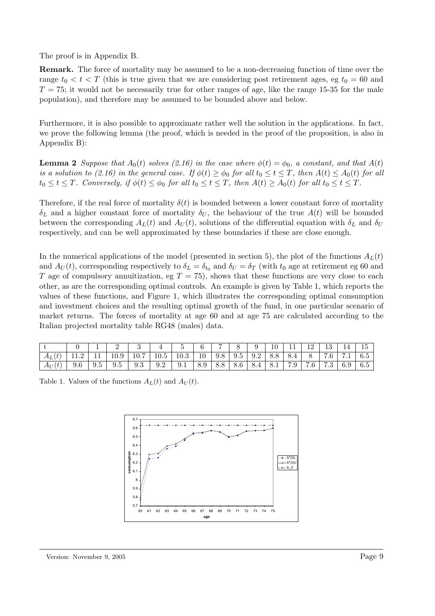The proof is in Appendix B.

Remark. The force of mortality may be assumed to be a non-decreasing function of time over the range  $t_0 < t < T$  (this is true given that we are considering post retirement ages, eg  $t_0 = 60$  and  $T = 75$ ; it would not be necessarily true for other ranges of age, like the range 15-35 for the male population), and therefore may be assumed to be bounded above and below.

Furthermore, it is also possible to approximate rather well the solution in the applications. In fact, we prove the following lemma (the proof, which is needed in the proof of the proposition, is also in Appendix B):

**Lemma 2** Suppose that  $A_0(t)$  solves (2.16) in the case where  $\phi(t) = \phi_0$ , a constant, and that  $A(t)$ is a solution to (2.16) in the general case. If  $\phi(t) \ge \phi_0$  for all  $t_0 \le t \le T$ , then  $A(t) \le A_0(t)$  for all  $t_0 \leq t \leq T$ . Conversely, if  $\phi(t) \leq \phi_0$  for all  $t_0 \leq t \leq T$ , then  $A(t) \geq A_0(t)$  for all  $t_0 \leq t \leq T$ .

Therefore, if the real force of mortality  $\delta(t)$  is bounded between a lower constant force of mortality  $\delta_L$  and a higher constant force of mortality  $\delta_U$ , the behaviour of the true  $A(t)$  will be bounded between the corresponding  $A_L(t)$  and  $A_U(t)$ , solutions of the differential equation with  $\delta_L$  and  $\delta_U$ respectively, and can be well approximated by these boundaries if these are close enough.

In the numerical applications of the model (presented in section 5), the plot of the functions  $A_L(t)$ and  $A_U(t)$ , corresponding respectively to  $\delta_L = \delta_{t_0}$  and  $\delta_U = \delta_T$  (with  $t_0$  age at retirement eg 60 and T age of compulsory annuitization, eg  $T = 75$ ), shows that these functions are very close to each other, as are the corresponding optimal controls. An example is given by Table 1, which reports the values of these functions, and Figure 1, which illustrates the corresponding optimal consumption and investment choices and the resulting optimal growth of the fund, in one particular scenario of market returns. The forces of mortality at age 60 and at age 75 are calculated according to the Italian projected mortality table RG48 (males) data.

|          |                    |             |                                                              |        |         |      | -   |     |             | 10  |     | 12  | 13                        | 14     | 15  |
|----------|--------------------|-------------|--------------------------------------------------------------|--------|---------|------|-----|-----|-------------|-----|-----|-----|---------------------------|--------|-----|
| $A_L(t)$ | $11.2$   11   10.9 |             | 10.7                                                         | $10.5$ | $+10.3$ | 10 l | 9.8 | 9.5 | $9.2$   8.8 |     |     |     | 7.6                       | $+7.1$ | 6.5 |
| $A_U(t)$ | 9.6                | $9.5$   9.5 | $\begin{array}{ c c c c c } \hline 9.3 & \hline \end{array}$ | 9.2    | $9.1\,$ | 8.9  | 8.8 | 8.6 | 8.4         | 8.1 | 7.9 | 7.6 | $^{\circ}$ 7.3 $^{\circ}$ | 6.9    | 6.5 |

Table 1. Values of the functions  $A_L(t)$  and  $A_U(t)$ .

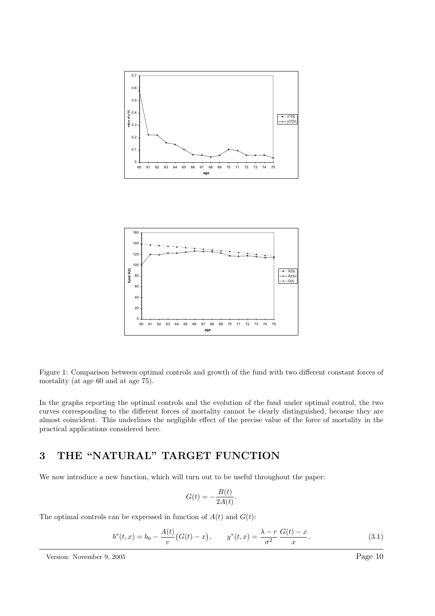



Figure 1: Comparison between optimal controls and growth of the fund with two different constant forces of mortality (at age 60 and at age 75).

In the graphs reporting the optimal controls and the evolution of the fund under optimal control, the two curves corresponding to the different forces of mortality cannot be clearly distinguished, because they are almost coincident. This underlines the negligible effect of the precise value of the force of mortality in the practical applications considered here.

### 3 THE "NATURAL" TARGET FUNCTION

We now introduce a new function, which will turn out to be useful throughout the paper:

$$
G(t) = -\frac{B(t)}{2A(t)}.
$$

The optimal controls can be expressed in function of  $A(t)$  and  $G(t)$ :

$$
b^*(t, x) = b_0 - \frac{A(t)}{v} (G(t) - x), \qquad y^*(t, x) = \frac{\lambda - r}{\sigma^2} \frac{G(t) - x}{x}.
$$
 (3.1)

Version: November 9, 2005 Page 10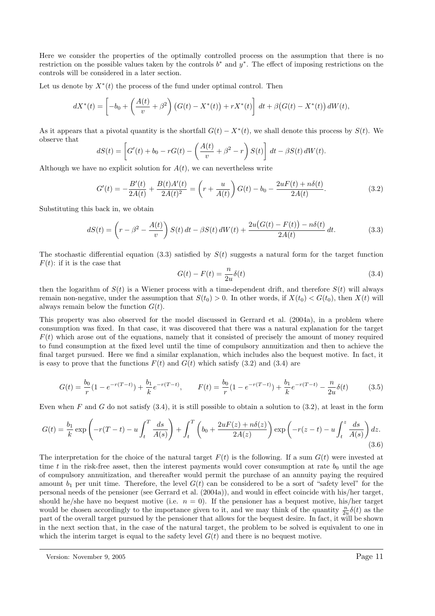Here we consider the properties of the optimally controlled process on the assumption that there is no restriction on the possible values taken by the controls  $b^*$  and  $y^*$ . The effect of imposing restrictions on the controls will be considered in a later section.

Let us denote by  $X^*(t)$  the process of the fund under optimal control. Then

$$
dX^*(t) = \left[ -b_0 + \left( \frac{A(t)}{v} + \beta^2 \right) \left( G(t) - X^*(t) \right) + rX^*(t) \right] dt + \beta \left( G(t) - X^*(t) \right) dW(t),
$$

As it appears that a pivotal quantity is the shortfall  $G(t) - X^*(t)$ , we shall denote this process by  $S(t)$ . We observe that  $\overline{a}$  $\mathbf{r}$  $\overline{a}$ 

$$
dS(t) = \left[ G'(t) + b_0 - rG(t) - \left( \frac{A(t)}{v} + \beta^2 - r \right) S(t) \right] dt - \beta S(t) dW(t).
$$

Although we have no explicit solution for  $A(t)$ , we can nevertheless write

$$
G'(t) = -\frac{B'(t)}{2A(t)} + \frac{B(t)A'(t)}{2A(t)^2} = \left(r + \frac{u}{A(t)}\right)G(t) - b_0 - \frac{2uF(t) + n\delta(t)}{2A(t)}.
$$
\n(3.2)

Substituting this back in, we obtain

$$
dS(t) = \left(r - \beta^2 - \frac{A(t)}{v}\right)S(t) dt - \beta S(t) dW(t) + \frac{2u(G(t) - F(t)) - n\delta(t)}{2A(t)} dt.
$$
 (3.3)

The stochastic differential equation (3.3) satisfied by  $S(t)$  suggests a natural form for the target function  $F(t)$ : if it is the case that

$$
G(t) - F(t) = \frac{n}{2u}\delta(t)
$$
\n(3.4)

then the logarithm of  $S(t)$  is a Wiener process with a time-dependent drift, and therefore  $S(t)$  will always remain non-negative, under the assumption that  $S(t_0) > 0$ . In other words, if  $X(t_0) < G(t_0)$ , then  $X(t)$  will always remain below the function  $G(t)$ .

This property was also observed for the model discussed in Gerrard et al. (2004a), in a problem where consumption was fixed. In that case, it was discovered that there was a natural explanation for the target  $F(t)$  which arose out of the equations, namely that it consisted of precisely the amount of money required to fund consumption at the fixed level until the time of compulsory annuitization and then to achieve the final target pursued. Here we find a similar explanation, which includes also the bequest motive. In fact, it is easy to prove that the functions  $F(t)$  and  $G(t)$  which satisfy (3.2) and (3.4) are

$$
G(t) = \frac{b_0}{r}(1 - e^{-r(T-t)}) + \frac{b_1}{k}e^{-r(T-t)}, \qquad F(t) = \frac{b_0}{r}(1 - e^{-r(T-t)}) + \frac{b_1}{k}e^{-r(T-t)} - \frac{n}{2u}\delta(t) \tag{3.5}
$$

Even when F and G do not satisfy  $(3.4)$ , it is still possible to obtain a solution to  $(3.2)$ , at least in the form

$$
G(t) = \frac{b_1}{k} \exp\left(-r(T-t) - u \int_t^T \frac{ds}{A(s)}\right) + \int_t^T \left(b_0 + \frac{2uF(z) + n\delta(z)}{2A(z)}\right) \exp\left(-r(z-t) - u \int_t^z \frac{ds}{A(s)}\right) dz.
$$
\n(3.6)

The interpretation for the choice of the natural target  $F(t)$  is the following. If a sum  $G(t)$  were invested at time t in the risk-free asset, then the interest payments would cover consumption at rate  $b_0$  until the age of compulsory annuitization, and thereafter would permit the purchase of an annuity paying the required amount  $b_1$  per unit time. Therefore, the level  $G(t)$  can be considered to be a sort of "safety level" for the personal needs of the pensioner (see Gerrard et al. (2004a)), and would in effect coincide with his/her target, should he/she have no bequest motive (i.e.  $n = 0$ ). If the pensioner has a bequest motive, his/her target would be chosen accordingly to the importance given to it, and we may think of the quantity  $\frac{n}{2u}\delta(t)$  as the part of the overall target pursued by the pensioner that allows for the bequest desire. In fact, it will be shown in the next section that, in the case of the natural target, the problem to be solved is equivalent to one in which the interim target is equal to the safety level  $G(t)$  and there is no bequest motive.

Version: November 9, 2005 Page 11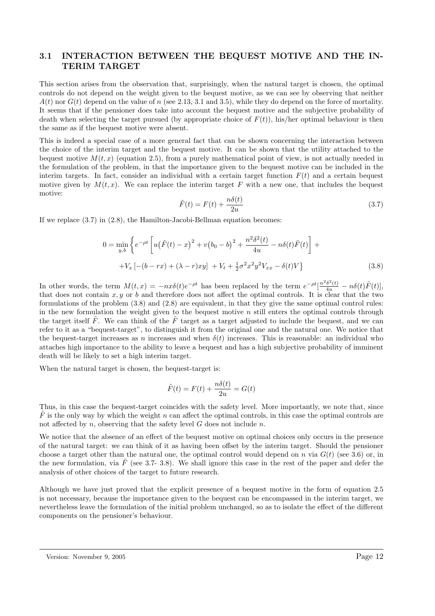#### 3.1 INTERACTION BETWEEN THE BEQUEST MOTIVE AND THE IN-TERIM TARGET

This section arises from the observation that, surprisingly, when the natural target is chosen, the optimal controls do not depend on the weight given to the bequest motive, as we can see by observing that neither  $A(t)$  nor  $G(t)$  depend on the value of n (see 2.13, 3.1 and 3.5), while they do depend on the force of mortality. It seems that if the pensioner does take into account the bequest motive and the subjective probability of death when selecting the target pursued (by appropriate choice of  $F(t)$ ), his/her optimal behaviour is then the same as if the bequest motive were absent.

This is indeed a special case of a more general fact that can be shown concerning the interaction between the choice of the interim target and the bequest motive. It can be shown that the utility attached to the bequest motive  $M(t, x)$  (equation 2.5), from a purely mathematical point of view, is not actually needed in the formulation of the problem, in that the importance given to the bequest motive can be included in the interim targets. In fact, consider an individual with a certain target function  $F(t)$  and a certain bequest motive given by  $M(t, x)$ . We can replace the interim target F with a new one, that includes the bequest motive:

$$
\tilde{F}(t) = F(t) + \frac{n\delta(t)}{2u} \tag{3.7}
$$

If we replace (3.7) in (2.8), the Hamilton-Jacobi-Bellman equation becomes:

$$
0 = \min_{y,b} \left\{ e^{-\rho t} \left[ u \left( \tilde{F}(t) - x \right)^2 + v \left( b_0 - b \right)^2 + \frac{n^2 \delta^2(t)}{4u} - n \delta(t) \tilde{F}(t) \right] + \right.
$$
  
+  $V_x \left[ -(b - rx) + (\lambda - r)xy \right] + V_t + \frac{1}{2} \sigma^2 x^2 y^2 V_{xx} - \delta(t) V \}$  (3.8)

In other words, the term  $M(t,x) = -nx\delta(t)e^{-\rho t}$  has been replaced by the term  $e^{-\rho t}[\frac{n^2\delta^2(t)}{4u} - n\delta(t)\tilde{F}(t)],$ that does not contain  $x, y$  or b and therefore does not affect the optimal controls. It is clear that the two formulations of the problem (3.8) and (2.8) are equivalent, in that they give the same optimal control rules: in the new formulation the weight given to the bequest motive  $n$  still enters the optimal controls through the target itself  $\overline{F}$ . We can think of the  $\overline{F}$  target as a target adjusted to include the bequest, and we can refer to it as a "bequest-target", to distinguish it from the original one and the natural one. We notice that the bequest-target increases as n increases and when  $\delta(t)$  increases. This is reasonable: an individual who attaches high importance to the ability to leave a bequest and has a high subjective probability of imminent death will be likely to set a high interim target.

When the natural target is chosen, the bequest-target is:

$$
\tilde{F}(t) = F(t) + \frac{n\delta(t)}{2u} = G(t)
$$

Thus, in this case the bequest-target coincides with the safety level. More importantly, we note that, since  $F$  is the only way by which the weight n can affect the optimal controls, in this case the optimal controls are not affected by  $n$ , observing that the safety level  $G$  does not include  $n$ .

We notice that the absence of an effect of the bequest motive on optimal choices only occurs in the presence of the natural target: we can think of it as having been offset by the interim target. Should the pensioner choose a target other than the natural one, the optimal control would depend on n via  $G(t)$  (see 3.6) or, in the new formulation, via  $\tilde{F}$  (see 3.7- 3.8). We shall ignore this case in the rest of the paper and defer the analysis of other choices of the target to future research.

Although we have just proved that the explicit presence of a bequest motive in the form of equation 2.5 is not necessary, because the importance given to the bequest can be encompassed in the interim target, we nevertheless leave the formulation of the initial problem unchanged, so as to isolate the effect of the different components on the pensioner's behaviour.

#### Version: November 9, 2005 Page 12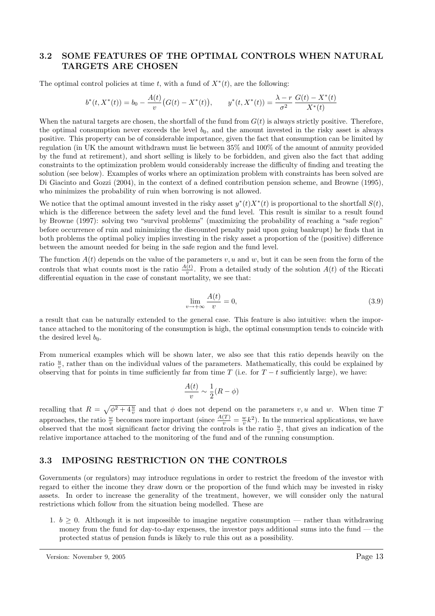#### 3.2 SOME FEATURES OF THE OPTIMAL CONTROLS WHEN NATURAL TARGETS ARE CHOSEN

The optimal control policies at time t, with a fund of  $X^*(t)$ , are the following:

$$
b^*(t, X^*(t)) = b_0 - \frac{A(t)}{v} (G(t) - X^*(t)), \qquad y^*(t, X^*(t)) = \frac{\lambda - r}{\sigma^2} \frac{G(t) - X^*(t)}{X^*(t)}
$$

When the natural targets are chosen, the shortfall of the fund from  $G(t)$  is always strictly positive. Therefore, the optimal consumption never exceeds the level  $b_0$ , and the amount invested in the risky asset is always positive. This property can be of considerable importance, given the fact that consumption can be limited by regulation (in UK the amount withdrawn must lie between 35% and 100% of the amount of annuity provided by the fund at retirement), and short selling is likely to be forbidden, and given also the fact that adding constraints to the optimization problem would considerably increase the difficulty of finding and treating the solution (see below). Examples of works where an optimization problem with constraints has been solved are Di Giacinto and Gozzi (2004), in the context of a defined contribution pension scheme, and Browne (1995), who minimizes the probability of ruin when borrowing is not allowed.

We notice that the optimal amount invested in the risky asset  $y^*(t)X^*(t)$  is proportional to the shortfall  $S(t)$ , which is the difference between the safety level and the fund level. This result is similar to a result found by Browne (1997): solving two "survival problems" (maximizing the probability of reaching a "safe region" before occurrence of ruin and minimizing the discounted penalty paid upon going bankrupt) he finds that in both problems the optimal policy implies investing in the risky asset a proportion of the (positive) difference between the amount needed for being in the safe region and the fund level.

The function  $A(t)$  depends on the value of the parameters v, u and w, but it can be seen from the form of the controls that what counts most is the ratio  $\frac{A(t)}{v}$ . From a detailed study of the solution  $A(t)$  of the Riccati differential equation in the case of constant mortality, we see that:

$$
\lim_{v \to +\infty} \frac{A(t)}{v} = 0,\tag{3.9}
$$

a result that can be naturally extended to the general case. This feature is also intuitive: when the importance attached to the monitoring of the consumption is high, the optimal consumption tends to coincide with the desired level  $b_0$ .

From numerical examples which will be shown later, we also see that this ratio depends heavily on the ratio  $\frac{u}{v}$ , rather than on the individual values of the parameters. Mathematically, this could be explained by observing that for points in time sufficiently far from time T (i.e. for  $T - t$  sufficiently large), we have:

$$
\frac{A(t)}{v} \sim \frac{1}{2}(R - \phi)
$$

recalling that  $R =$  $\sqrt{\phi^2 + 4\frac{u}{v}}$  and that  $\phi$  does not depend on the parameters  $v, u$  and w. When time T approaches, the ratio  $\frac{w}{v}$  becomes more important (since  $\frac{A(T)}{v} = \frac{w}{v}k^2$ ). In the numerical applications, we have observed that the most significant factor driving the controls is the ratio  $\frac{u}{v}$ , that gives an indication of the relative importance attached to the monitoring of the fund and of the running consumption.

#### 3.3 IMPOSING RESTRICTION ON THE CONTROLS

Governments (or regulators) may introduce regulations in order to restrict the freedom of the investor with regard to either the income they draw down or the proportion of the fund which may be invested in risky assets. In order to increase the generality of the treatment, however, we will consider only the natural restrictions which follow from the situation being modelled. These are

1.  $b \geq 0$ . Although it is not impossible to imagine negative consumption — rather than withdrawing money from the fund for day-to-day expenses, the investor pays additional sums into the fund  $-$  the protected status of pension funds is likely to rule this out as a possibility.

Version: November 9, 2005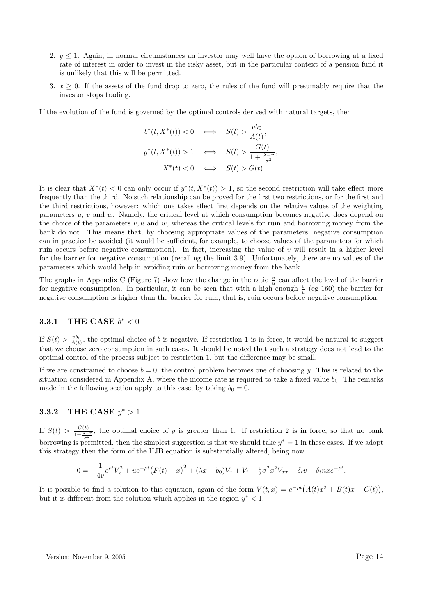- 2.  $y \leq 1$ . Again, in normal circumstances an investor may well have the option of borrowing at a fixed rate of interest in order to invest in the risky asset, but in the particular context of a pension fund it is unlikely that this will be permitted.
- 3.  $x \geq 0$ . If the assets of the fund drop to zero, the rules of the fund will presumably require that the investor stops trading.

If the evolution of the fund is governed by the optimal controls derived with natural targets, then

$$
b^*(t, X^*(t)) < 0 \iff S(t) > \frac{vb_0}{A(t)},
$$
\n
$$
y^*(t, X^*(t)) > 1 \iff S(t) > \frac{G(t)}{1 + \frac{\lambda - r}{\sigma^2}},
$$
\n
$$
X^*(t) < 0 \iff S(t) > G(t).
$$

It is clear that  $X^*(t) < 0$  can only occur if  $y^*(t, X^*(t)) > 1$ , so the second restriction will take effect more frequently than the third. No such relationship can be proved for the first two restrictions, or for the first and the third restrictions, however: which one takes effect first depends on the relative values of the weighting parameters  $u, v$  and  $w$ . Namely, the critical level at which consumption becomes negative does depend on the choice of the parameters  $v, u$  and  $w$ , whereas the critical levels for ruin and borrowing money from the bank do not. This means that, by choosing appropriate values of the parameters, negative consumption can in practice be avoided (it would be sufficient, for example, to choose values of the parameters for which ruin occurs before negative consumption). In fact, increasing the value of  $v$  will result in a higher level for the barrier for negative consumption (recalling the limit 3.9). Unfortunately, there are no values of the parameters which would help in avoiding ruin or borrowing money from the bank.

The graphs in Appendix C (Figure 7) show how the change in the ratio  $\frac{v}{u}$  can affect the level of the barrier for negative consumption. In particular, it can be seen that with a high enough  $\frac{v}{u}$  (eg 160) the barrier for negative consumption is higher than the barrier for ruin, that is, ruin occurs before negative consumption.

#### **3.3.1 THE CASE**  $b^* < 0$

If  $S(t) > \frac{vb_0}{A(t)}$ , the optimal choice of b is negative. If restriction 1 is in force, it would be natural to suggest that we choose zero consumption in such cases. It should be noted that such a strategy does not lead to the optimal control of the process subject to restriction 1, but the difference may be small.

If we are constrained to choose  $b = 0$ , the control problem becomes one of choosing y. This is related to the situation considered in Appendix A, where the income rate is required to take a fixed value  $b_0$ . The remarks made in the following section apply to this case, by taking  $b_0 = 0$ .

#### **3.3.2** THE CASE  $y^* > 1$

If  $S(t) > \frac{G(t)}{1+\lambda}$  $\frac{G(t)}{1+\frac{\lambda-\tau}{\sigma^2}}$ , the optimal choice of y is greater than 1. If restriction 2 is in force, so that no bank borrowing is permitted, then the simplest suggestion is that we should take  $y^* = 1$  in these cases. If we adopt this strategy then the form of the HJB equation is substantially altered, being now

$$
0 = -\frac{1}{4v}e^{\rho t}V_x^2 + ue^{-\rho t}(F(t) - x)^2 + (\lambda x - b_0)V_x + V_t + \frac{1}{2}\sigma^2 x^2 V_{xx} - \delta_t v - \delta_t nxe^{-\rho t}.
$$

It is possible to find a solution to this equation, again of the form  $V(t,x) = e^{-\rho t} (A(t)x^2 + B(t)x + C(t))$ , but it is different from the solution which applies in the region  $y^* < 1$ .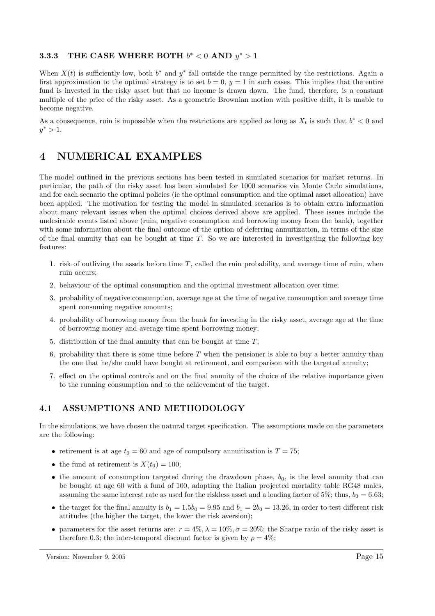#### 3.3.3 THE CASE WHERE BOTH  $b^* < 0$  AND  $y^* > 1$

When  $X(t)$  is sufficiently low, both  $b^*$  and  $y^*$  fall outside the range permitted by the restrictions. Again a first approximation to the optimal strategy is to set  $b = 0$ ,  $y = 1$  in such cases. This implies that the entire fund is invested in the risky asset but that no income is drawn down. The fund, therefore, is a constant multiple of the price of the risky asset. As a geometric Brownian motion with positive drift, it is unable to become negative.

As a consequence, ruin is impossible when the restrictions are applied as long as  $X_t$  is such that  $b^* < 0$  and  $y^* > 1$ .

#### 4 NUMERICAL EXAMPLES

The model outlined in the previous sections has been tested in simulated scenarios for market returns. In particular, the path of the risky asset has been simulated for 1000 scenarios via Monte Carlo simulations, and for each scenario the optimal policies (ie the optimal consumption and the optimal asset allocation) have been applied. The motivation for testing the model in simulated scenarios is to obtain extra information about many relevant issues when the optimal choices derived above are applied. These issues include the undesirable events listed above (ruin, negative consumption and borrowing money from the bank), together with some information about the final outcome of the option of deferring annuitization, in terms of the size of the final annuity that can be bought at time T. So we are interested in investigating the following key features:

- 1. risk of outliving the assets before time  $T$ , called the ruin probability, and average time of ruin, when ruin occurs;
- 2. behaviour of the optimal consumption and the optimal investment allocation over time;
- 3. probability of negative consumption, average age at the time of negative consumption and average time spent consuming negative amounts;
- 4. probability of borrowing money from the bank for investing in the risky asset, average age at the time of borrowing money and average time spent borrowing money;
- 5. distribution of the final annuity that can be bought at time  $T$ ;
- 6. probability that there is some time before  $T$  when the pensioner is able to buy a better annuity than the one that he/she could have bought at retirement, and comparison with the targeted annuity;
- 7. effect on the optimal controls and on the final annuity of the choice of the relative importance given to the running consumption and to the achievement of the target.

#### 4.1 ASSUMPTIONS AND METHODOLOGY

In the simulations, we have chosen the natural target specification. The assumptions made on the parameters are the following:

- retirement is at age  $t_0 = 60$  and age of compulsory annuitization is  $T = 75$ ;
- the fund at retirement is  $X(t_0) = 100$ ;
- the amount of consumption targeted during the drawdown phase,  $b_0$ , is the level annuity that can be bought at age 60 with a fund of 100, adopting the Italian projected mortality table RG48 males, assuming the same interest rate as used for the riskless asset and a loading factor of 5%; thus,  $b_0 = 6.63$ ;
- the target for the final annuity is  $b_1 = 1.5b_0 = 9.95$  and  $b_1 = 2b_0 = 13.26$ , in order to test different risk attitudes (the higher the target, the lower the risk aversion);
- parameters for the asset returns are:  $r = 4\%, \lambda = 10\%, \sigma = 20\%$ ; the Sharpe ratio of the risky asset is therefore 0.3; the inter-temporal discount factor is given by  $\rho = 4\%$ ;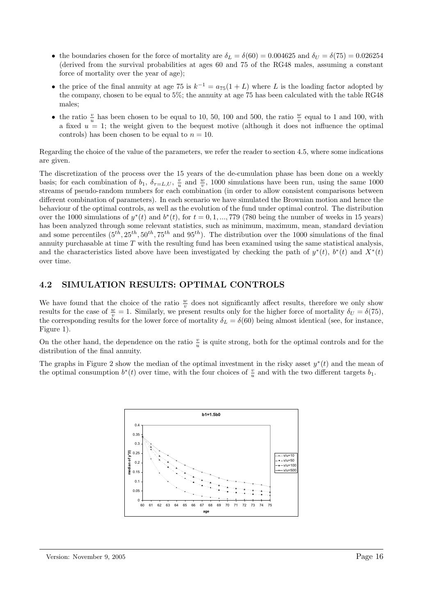- the boundaries chosen for the force of mortality are  $\delta_L = \delta(60) = 0.004625$  and  $\delta_U = \delta(75) = 0.026254$ (derived from the survival probabilities at ages 60 and 75 of the RG48 males, assuming a constant force of mortality over the year of age);
- the price of the final annuity at age 75 is  $k^{-1} = a_{75}(1+L)$  where L is the loading factor adopted by the company, chosen to be equal to 5%; the annuity at age 75 has been calculated with the table RG48 males;
- the ratio  $\frac{v}{u}$  has been chosen to be equal to 10, 50, 100 and 500, the ratio  $\frac{w}{v}$  equal to 1 and 100, with a fixed  $u = 1$ ; the weight given to the bequest motive (although it does not influence the optimal controls) has been chosen to be equal to  $n = 10$ .

Regarding the choice of the value of the parameters, we refer the reader to section 4.5, where some indications are given.

The discretization of the process over the 15 years of the de-cumulation phase has been done on a weekly basis; for each combination of  $b_1$ ,  $\delta_{\tau=L,U}$ ,  $\frac{v}{u}$  and  $\frac{w}{v}$ , 1000 simulations have been run, using the same 1000 streams of pseudo-random numbers for each combination (in order to allow consistent comparisons between different combination of parameters). In each scenario we have simulated the Brownian motion and hence the behaviour of the optimal controls, as well as the evolution of the fund under optimal control. The distribution over the 1000 simulations of  $y^*(t)$  and  $b^*(t)$ , for  $t = 0, 1, ..., 779$  (780 being the number of weeks in 15 years) has been analyzed through some relevant statistics, such as minimum, maximum, mean, standard deviation and some percentiles  $(5^{th}, 25^{th}, 50^{th}, 75^{th}$  and  $95^{th})$ . The distribution over the 1000 simulations of the final annuity purchasable at time  $T$  with the resulting fund has been examined using the same statistical analysis, and the characteristics listed above have been investigated by checking the path of  $y^*(t)$ ,  $b^*(t)$  and  $X^*(t)$ over time.

#### 4.2 SIMULATION RESULTS: OPTIMAL CONTROLS

We have found that the choice of the ratio  $\frac{w}{v}$  does not significantly affect results, therefore we only show results for the case of  $\frac{w}{v} = 1$ . Similarly, we present results only for the higher force of mortality  $\delta_U = \delta(75)$ , the corresponding results for the lower force of mortality  $\delta_L = \delta(60)$  being almost identical (see, for instance, Figure 1).

On the other hand, the dependence on the ratio  $\frac{v}{u}$  is quite strong, both for the optimal controls and for the distribution of the final annuity.

The graphs in Figure 2 show the median of the optimal investment in the risky asset  $y^*(t)$  and the mean of the optimal consumption  $b^*(t)$  over time, with the four choices of  $\frac{v}{u}$  and with the two different targets  $b_1$ .

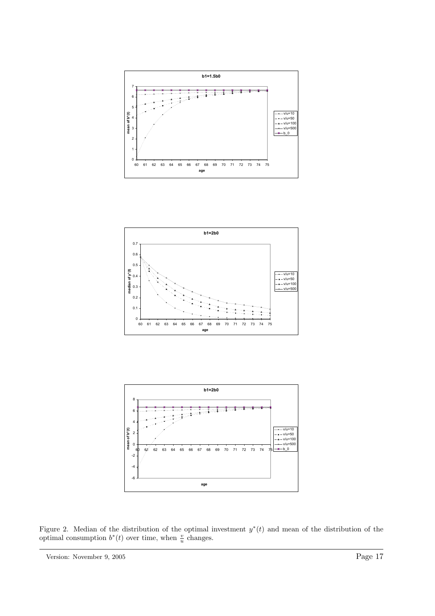





Figure 2. Median of the distribution of the optimal investment  $y^*(t)$  and mean of the distribution of the optimal consumption  $b^*(t)$  over time, when  $\frac{v}{u}$  changes.

Version: November 9, 2005 Page 17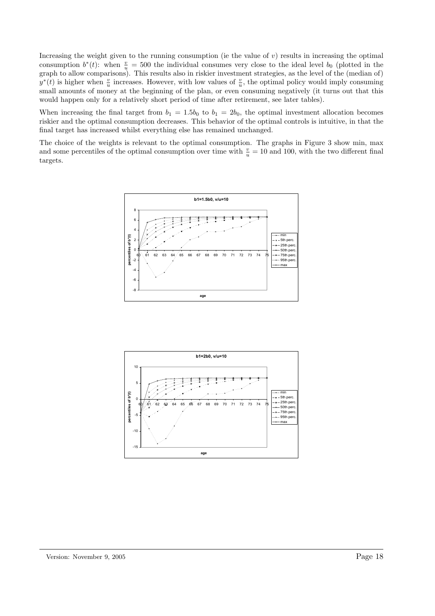Increasing the weight given to the running consumption (ie the value of  $v$ ) results in increasing the optimal consumption  $b^*(t)$ : when  $\frac{v}{u} = 500$  the individual consumes very close to the ideal level  $b_0$  (plotted in the graph to allow comparisons). This results also in riskier investment strategies, as the level of the (median of)  $y^*(t)$  is higher when  $\frac{v}{u}$  increases. However, with low values of  $\frac{v}{u}$ , the optimal policy would imply consuming small amounts of money at the beginning of the plan, or even consuming negatively (it turns out that this would happen only for a relatively short period of time after retirement, see later tables).

When increasing the final target from  $b_1 = 1.5b_0$  to  $b_1 = 2b_0$ , the optimal investment allocation becomes riskier and the optimal consumption decreases. This behavior of the optimal controls is intuitive, in that the final target has increased whilst everything else has remained unchanged.

The choice of the weights is relevant to the optimal consumption. The graphs in Figure 3 show min, max and some percentiles of the optimal consumption over time with  $\frac{v}{u} = 10$  and 100, with the two different final targets.



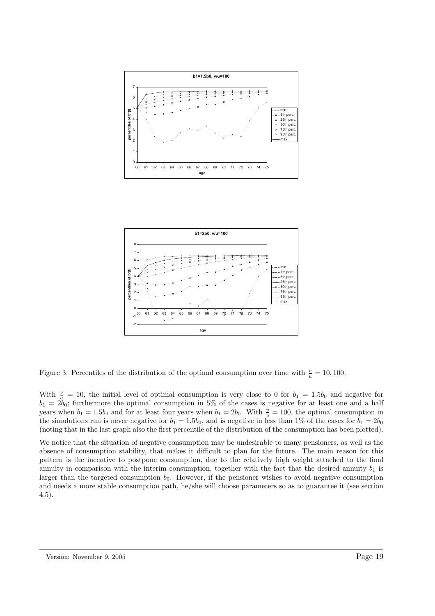



Figure 3. Percentiles of the distribution of the optimal consumption over time with  $\frac{v}{u} = 10, 100$ .

With  $\frac{v}{u} = 10$ , the initial level of optimal consumption is very close to 0 for  $b_1 = 1.5b_0$  and negative for  $b_1 = 2b_0$ ; furthermore the optimal consumption in 5% of the cases is negative for at least one and a half years when  $b_1 = 1.5b_0$  and for at least four years when  $b_1 = 2b_0$ . With  $\frac{v}{u} = 100$ , the optimal consumption in the simulations run is never negative for  $b_1 = 1.5b_0$ , and is negative in less than 1% of the cases for  $b_1 = 2b_0$ (noting that in the last graph also the first percentile of the distribution of the consumption has been plotted).

We notice that the situation of negative consumption may be undesirable to many pensioners, as well as the absence of consumption stability, that makes it difficult to plan for the future. The main reason for this pattern is the incentive to postpone consumption, due to the relatively high weight attached to the final annuity in comparison with the interim consumption, together with the fact that the desired annuity  $b_1$  is larger than the targeted consumption  $b_0$ . However, if the pensioner wishes to avoid negative consumption and needs a more stable consumption path, he/she will choose parameters so as to guarantee it (see section 4.5).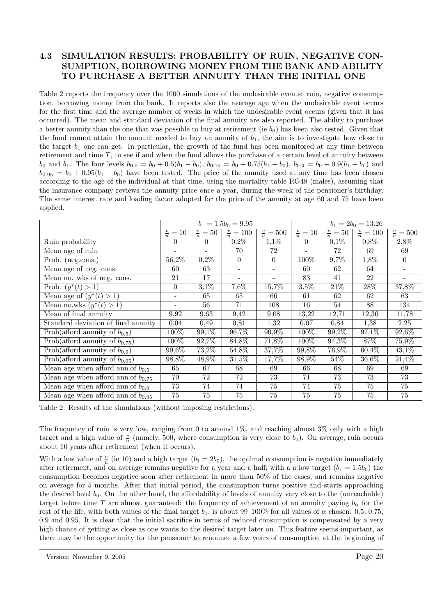#### 4.3 SIMULATION RESULTS: PROBABILITY OF RUIN, NEGATIVE CON-SUMPTION, BORROWING MONEY FROM THE BANK AND ABILITY TO PURCHASE A BETTER ANNUITY THAN THE INITIAL ONE

Table 2 reports the frequency over the 1000 simulations of the undesirable events: ruin, negative consumption, borrowing money from the bank. It reports also the average age when the undesirable event occurs for the first time and the average number of weeks in which the undesirable event occurs (given that it has occurred). The mean and standard deviation of the final annuity are also reported. The ability to purchase a better annuity than the one that was possible to buy at retirement (ie  $b_0$ ) has been also tested. Given that the fund cannot attain the amount needed to buy an annuity of  $b_1$ , the aim is to investigate how close to the target  $b_1$  one can get. In particular, the growth of the fund has been monitored at any time between retirement and time  $T$ , to see if and when the fund allows the purchase of a certain level of annuity between  $b_0$  and  $b_1$ . The four levels  $b_{0.5} = b_0 + 0.5(b_1 - b_0)$ ,  $b_{0.75} = b_0 + 0.75(b_1 - b_0)$ ,  $b_{0.9} = b_0 + 0.9(b_1 - b_0)$  and  $b_{0.95} = b_0 + 0.95(b_1 - b_0)$  have been tested. The price of the annuity used at any time has been chosen according to the age of the individual at that time, using the mortality table RG48 (males), assuming that the insurance company reviews the annuity price once a year, during the week of the pensioner's birthday. The same interest rate and loading factor adopted for the price of the annuity at age 60 and 75 have been applied.

|                                         | $b_1 = 1.5b_0 = 9.95$    |                    |                          |                          | $b_1 = 2b_0 = 13.26$            |                    |                     |                          |  |
|-----------------------------------------|--------------------------|--------------------|--------------------------|--------------------------|---------------------------------|--------------------|---------------------|--------------------------|--|
|                                         | $\frac{v}{v} = 10$       | $\frac{v}{v} = 50$ | $\frac{v}{v} = 100$      | $\frac{v}{u} = 500$      | $\overline{\frac{v}{\cdot}}=10$ | $\frac{v}{u} = 50$ | $\frac{v}{v} = 100$ | $\frac{v}{v} = 500$      |  |
| Ruin probability                        | $\theta$                 | $\Omega$           | $0,2\%$                  | $1,1\%$                  | $\theta$                        | 0,1%               | $0,8\%$             | 2,8%                     |  |
| Mean age of ruin                        |                          |                    | 70                       | 72                       |                                 | 72                 | 69                  | 69                       |  |
| Prob. (neg.cons.)                       | 56,2%                    | $0.2\%$            | $\theta$                 | $\overline{0}$           | 100\%                           | 9,7%               | 1,8%                | $\theta$                 |  |
| Mean age of neg. cons.                  | 60                       | 63                 | $\overline{\phantom{a}}$ | $\overline{\phantom{a}}$ | 60                              | 62                 | 64                  | $\overline{\phantom{a}}$ |  |
| Mean no. wks of neg. cons.              | 21                       | 17                 | $\overline{\phantom{a}}$ |                          | 83                              | 41                 | 22                  |                          |  |
| Prob. $(y^*(\overline{t})>1)$           | $\theta$                 | 3,1%               | 7,6%                     | 15,7%                    | 3,5%                            | 21\%               | 28\%                | 37,8%                    |  |
| Mean age of $(y^*(t) > 1)$              | $\overline{\phantom{a}}$ | 65                 | 65                       | 66                       | 61                              | 62                 | 62                  | 63                       |  |
| Mean no.wks $(y^*(t) > 1)$              |                          | 56                 | 71                       | 108                      | 16                              | 54                 | 88                  | 134                      |  |
| Mean of final annuity                   | 9,92                     | 9,63               | 9,42                     | 9,08                     | 13,22                           | 12,71              | 12,36               | 11,78                    |  |
| Standard deviation of final annuity     | 0,04                     | 0,49               | 0,81                     | 1,32                     | 0,07                            | 0,84               | 1,38                | 2,25                     |  |
| Prob(afford annuity of $b_{0.5}$ )      | 100%                     | 99,1%              | 96,7%                    | 90,9%                    | 100%                            | 99,2%              | 97,1%               | 92,6%                    |  |
| Prob(afford annuity of $b_{0.75}$ )     | $100\%$                  | 92,7%              | 84,8%                    | 71,8%                    | 100%                            | 94,3%              | 87\%                | 75,9%                    |  |
| Prob(afford annuity of $b_{0.9}$ )      | $99,6\%$                 | 73,2%              | 54,8%                    | 37,7%                    | 99,8%                           | 76,9%              | 60,4%               | $43,1\%$                 |  |
| Prob(afford annuity of $b_{0.95}$ )     | 98,8%                    | 48,9%              | $31,5\%$                 | 17,7%                    | 98,9%                           | 54%                | 36,6%               | 21,4%                    |  |
| Mean age when afford ann. of $b_{0.5}$  | 65                       | 67                 | 68                       | 69                       | 66                              | 68                 | 69                  | 69                       |  |
| Mean age when afford ann. of $b_{0.75}$ | 70                       | 72                 | 72                       | 73                       | 71                              | 73                 | 73                  | 73                       |  |
| Mean age when afford ann. of $b_{0.9}$  | 73                       | 74                 | 74                       | 75                       | 74                              | 75                 | 75                  | 75                       |  |
| Mean age when afford ann. of $b_{0.95}$ | 75                       | 75                 | 75                       | 75                       | 75                              | 75                 | 75                  | 75                       |  |

Table 2. Results of the simulations (without imposing restrictions).

The frequency of ruin is very low, ranging from 0 to around 1%, and reaching almost  $3\%$  only with a high target and a high value of  $\frac{v}{u}$  (namely, 500, where consumption is very close to  $b_0$ ). On average, ruin occurs about 10 years after retirement (when it occurs).

With a low value of  $\frac{v}{u}$  (ie 10) and a high target  $(b_1 = 2b_0)$ , the optimal consumption is negative immediately after retirement, and on average remains negative for a year and a half; with a a low target  $(b_1 = 1.5b_0)$  the consumption becomes negative soon after retirement in more than 50% of the cases, and remains negative on average for 5 months. After that initial period, the consumption turns positive and starts approaching the desired level  $b_0$ . On the other hand, the affordability of levels of annuity very close to the (unreachable) target before time T are almost guaranteed: the frequency of achievement of an annuity paying  $b_{\alpha}$  for the rest of the life, with both values of the final target  $b_1$ , is about 99–100% for all values of  $\alpha$  chosen: 0.5, 0.75, 0.9 and 0.95. It is clear that the initial sacrifice in terms of reduced consumption is compensated by a very high chance of getting as close as one wants to the desired target later on. This feature seems important, as there may be the opportunity for the pensioner to renounce a few years of consumption at the beginning of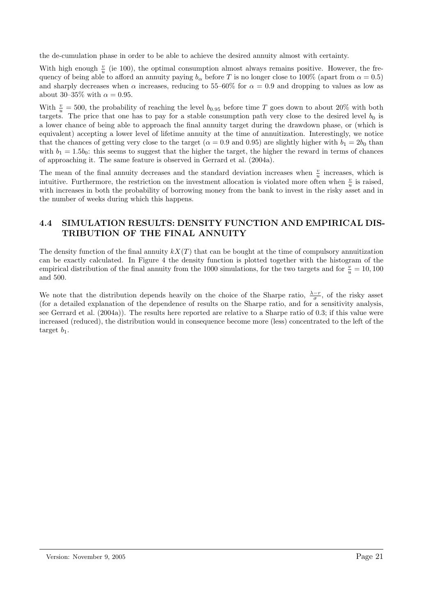the de-cumulation phase in order to be able to achieve the desired annuity almost with certainty.

With high enough  $\frac{v}{u}$  (ie 100), the optimal consumption almost always remains positive. However, the frequency of being able to afford an annuity paying  $b_{\alpha}$  before T is no longer close to 100% (apart from  $\alpha = 0.5$ ) and sharply decreases when  $\alpha$  increases, reducing to 55–60% for  $\alpha = 0.9$  and dropping to values as low as about 30–35% with  $\alpha = 0.95$ .

With  $\frac{v}{u} = 500$ , the probability of reaching the level  $b_{0.95}$  before time T goes down to about 20% with both targets. The price that one has to pay for a stable consumption path very close to the desired level  $b_0$  is a lower chance of being able to approach the final annuity target during the drawdown phase, or (which is equivalent) accepting a lower level of lifetime annuity at the time of annuitization. Interestingly, we notice that the chances of getting very close to the target ( $\alpha = 0.9$  and 0.95) are slightly higher with  $b_1 = 2b_0$  than with  $b_1 = 1.5b_0$ : this seems to suggest that the higher the target, the higher the reward in terms of chances of approaching it. The same feature is observed in Gerrard et al. (2004a).

The mean of the final annuity decreases and the standard deviation increases when  $\frac{v}{u}$  increases, which is intuitive. Furthermore, the restriction on the investment allocation is violated more often when  $\frac{v}{u}$  is raised, with increases in both the probability of borrowing money from the bank to invest in the risky asset and in the number of weeks during which this happens.

#### 4.4 SIMULATION RESULTS: DENSITY FUNCTION AND EMPIRICAL DIS-TRIBUTION OF THE FINAL ANNUITY

The density function of the final annuity  $kX(T)$  that can be bought at the time of compulsory annuitization can be exactly calculated. In Figure 4 the density function is plotted together with the histogram of the empirical distribution of the final annuity from the 1000 simulations, for the two targets and for  $\frac{v}{u} = 10, 100$ and 500.

We note that the distribution depends heavily on the choice of the Sharpe ratio,  $\frac{\lambda-r}{\sigma}$ , of the risky asset (for a detailed explanation of the dependence of results on the Sharpe ratio, and for a sensitivity analysis, see Gerrard et al. (2004a)). The results here reported are relative to a Sharpe ratio of 0.3; if this value were increased (reduced), the distribution would in consequence become more (less) concentrated to the left of the target  $b_1$ .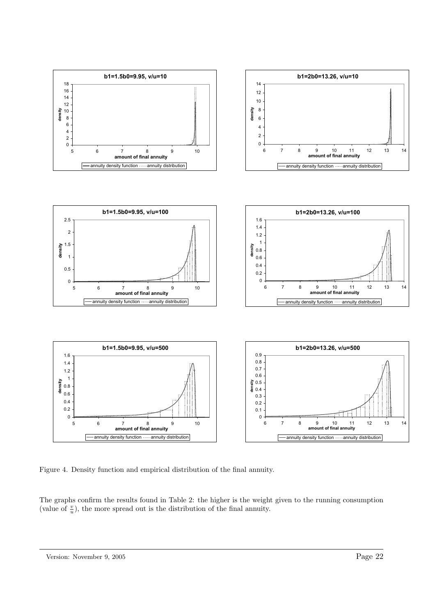

Figure 4. Density function and empirical distribution of the final annuity.

The graphs confirm the results found in Table 2: the higher is the weight given to the running consumption (value of  $\frac{v}{u}$ ), the more spread out is the distribution of the final annuity.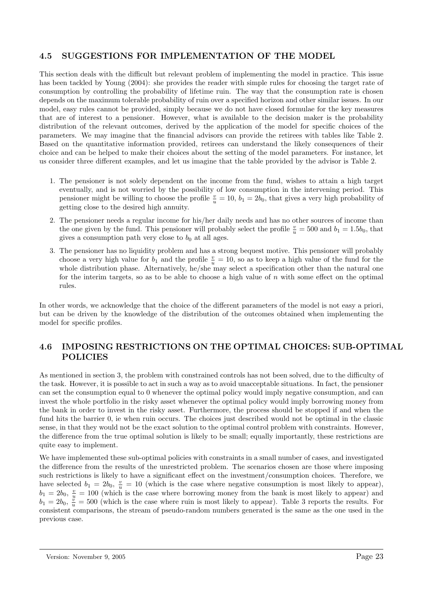#### 4.5 SUGGESTIONS FOR IMPLEMENTATION OF THE MODEL

This section deals with the difficult but relevant problem of implementing the model in practice. This issue has been tackled by Young (2004): she provides the reader with simple rules for choosing the target rate of consumption by controlling the probability of lifetime ruin. The way that the consumption rate is chosen depends on the maximum tolerable probability of ruin over a specified horizon and other similar issues. In our model, easy rules cannot be provided, simply because we do not have closed formulae for the key measures that are of interest to a pensioner. However, what is available to the decision maker is the probability distribution of the relevant outcomes, derived by the application of the model for specific choices of the parameters. We may imagine that the financial advisors can provide the retirees with tables like Table 2. Based on the quantitative information provided, retirees can understand the likely consequences of their choice and can be helped to make their choices about the setting of the model parameters. For instance, let us consider three different examples, and let us imagine that the table provided by the advisor is Table 2.

- 1. The pensioner is not solely dependent on the income from the fund, wishes to attain a high target eventually, and is not worried by the possibility of low consumption in the intervening period. This pensioner might be willing to choose the profile  $\frac{v}{u} = 10$ ,  $b_1 = 2b_0$ , that gives a very high probability of getting close to the desired high annuity.
- 2. The pensioner needs a regular income for his/her daily needs and has no other sources of income than the one given by the fund. This pensioner will probably select the profile  $\frac{v}{u} = 500$  and  $b_1 = 1.5b_0$ , that gives a consumption path very close to  $b_0$  at all ages.
- 3. The pensioner has no liquidity problem and has a strong bequest motive. This pensioner will probably choose a very high value for  $b_1$  and the profile  $\frac{v}{u} = 10$ , so as to keep a high value of the fund for the whole distribution phase. Alternatively, he/she may select a specification other than the natural one for the interim targets, so as to be able to choose a high value of  $n$  with some effect on the optimal rules.

In other words, we acknowledge that the choice of the different parameters of the model is not easy a priori, but can be driven by the knowledge of the distribution of the outcomes obtained when implementing the model for specific profiles.

#### 4.6 IMPOSING RESTRICTIONS ON THE OPTIMAL CHOICES: SUB-OPTIMAL POLICIES

As mentioned in section 3, the problem with constrained controls has not been solved, due to the difficulty of the task. However, it is possible to act in such a way as to avoid unacceptable situations. In fact, the pensioner can set the consumption equal to 0 whenever the optimal policy would imply negative consumption, and can invest the whole portfolio in the risky asset whenever the optimal policy would imply borrowing money from the bank in order to invest in the risky asset. Furthermore, the process should be stopped if and when the fund hits the barrier 0, ie when ruin occurs. The choices just described would not be optimal in the classic sense, in that they would not be the exact solution to the optimal control problem with constraints. However, the difference from the true optimal solution is likely to be small; equally importantly, these restrictions are quite easy to implement.

We have implemented these sub-optimal policies with constraints in a small number of cases, and investigated the difference from the results of the unrestricted problem. The scenarios chosen are those where imposing such restrictions is likely to have a significant effect on the investment/consumption choices. Therefore, we have selected  $b_1 = 2b_0$ ,  $\frac{v}{u} = 10$  (which is the case where negative consumption is most likely to appear),  $b_1 = 2b_0, \frac{v}{u} = 100$  (which is the case where borrowing money from the bank is most likely to appear) and  $b_1 = 2b_0$ ,  $\frac{v}{u} = 500$  (which is the case where ruin is most likely to appear). Table 3 reports the results. For consistent comparisons, the stream of pseudo-random numbers generated is the same as the one used in the previous case.

Version: November 9, 2005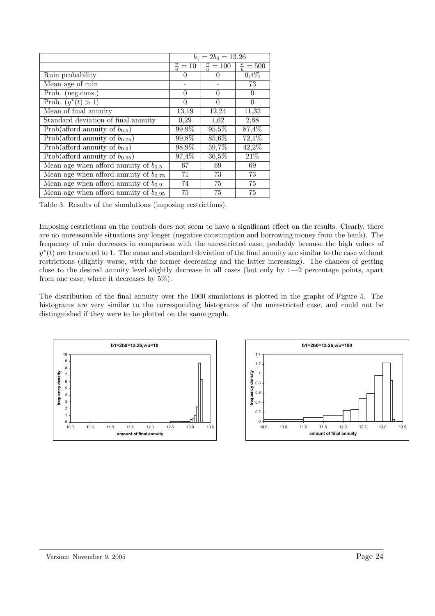|                                                            | $b_1 = 2b_0 = 13.26$ |                     |                     |  |
|------------------------------------------------------------|----------------------|---------------------|---------------------|--|
|                                                            | $\frac{v}{u} = 10$   | $\frac{v}{u} = 100$ | $\frac{v}{u} = 500$ |  |
| Ruin probability                                           | 0                    | 0                   | 0,4%                |  |
| Mean age of ruin                                           |                      |                     | 73                  |  |
| Prob. (neg.cons.)                                          | $\Omega$             | $\Omega$            | 0                   |  |
| Prob. $(y^*(t) > 1)$                                       | 0                    | $\Omega$            | $\theta$            |  |
| Mean of final annuity                                      | 13,19                | 12,24               | 11,32               |  |
| Standard deviation of final annuity                        | 0,29                 | 1,62                | 2,88                |  |
| Prob(afford annuity of $b_{0.5}$ )                         | 99,9%                | 95,5%               | 87,4%               |  |
| Prob(afford annuity of $b_{0.75}$ )                        | 99,8%                | 85,6%               | 72,1%               |  |
| $\overline{\text{Prob}(a\text{fford annuity of }b_{0.9})}$ | 98,9%                | 59,7%               | 42,2%               |  |
| Prob(afford annuity of $b_{0.95}$ )                        | 97,4%                | 36,5%               | 21\%                |  |
| Mean age when afford annuity of $b_{0.5}$                  | 67                   | 69                  | 69                  |  |
| Mean age when afford annuity of $b_{0.75}$                 | 71                   | 73                  | 73                  |  |
| Mean age when afford annuity of $b_{0.9}$                  | 74                   | 75                  | 75                  |  |
| Mean age when afford annuity of $b_{0.95}$                 | 75                   | 75                  | 75                  |  |

Table 3. Results of the simulations (imposing restrictions).

Imposing restrictions on the controls does not seem to have a significant effect on the results. Clearly, there are no unreasonable situations any longer (negative consumption and borrowing money from the bank). The frequency of ruin decreases in comparison with the unrestricted case, probably because the high values of  $y^*(t)$  are truncated to 1. The mean and standard deviation of the final annuity are similar to the case without restrictions (slightly worse, with the former decreasing and the latter increasing). The chances of getting close to the desired annuity level slightly decrease in all cases (but only by 1—2 percentage points, apart from one case, where it decreases by 5%).

The distribution of the final annuity over the 1000 simulations is plotted in the graphs of Figure 5. The histograms are very similar to the corresponding histograms of the unrestricted case, and could not be distinguished if they were to be plotted on the same graph.



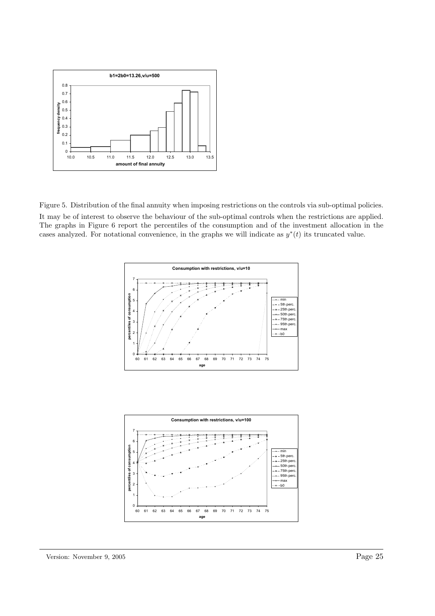

Figure 5. Distribution of the final annuity when imposing restrictions on the controls via sub-optimal policies. It may be of interest to observe the behaviour of the sub-optimal controls when the restrictions are applied. The graphs in Figure 6 report the percentiles of the consumption and of the investment allocation in the cases analyzed. For notational convenience, in the graphs we will indicate as  $y^*(t)$  its truncated value.



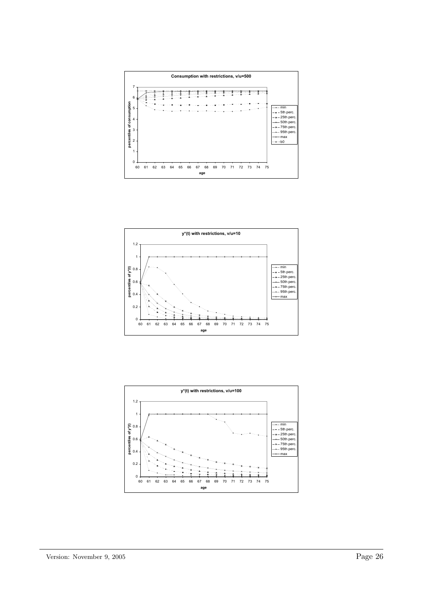



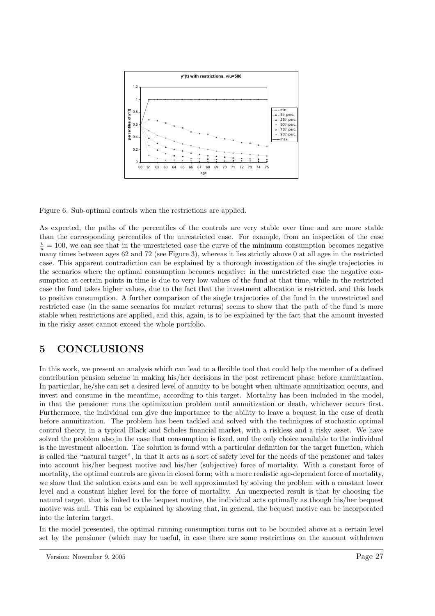

Figure 6. Sub-optimal controls when the restrictions are applied.

As expected, the paths of the percentiles of the controls are very stable over time and are more stable than the corresponding percentiles of the unrestricted case. For example, from an inspection of the case  $\frac{v}{u} = 100$ , we can see that in the unrestricted case the curve of the minimum consumption becomes negative many times between ages 62 and 72 (see Figure 3), whereas it lies strictly above 0 at all ages in the restricted case. This apparent contradiction can be explained by a thorough investigation of the single trajectories in the scenarios where the optimal consumption becomes negative: in the unrestricted case the negative consumption at certain points in time is due to very low values of the fund at that time, while in the restricted case the fund takes higher values, due to the fact that the investment allocation is restricted, and this leads to positive consumption. A further comparison of the single trajectories of the fund in the unrestricted and restricted case (in the same scenarios for market returns) seems to show that the path of the fund is more stable when restrictions are applied, and this, again, is to be explained by the fact that the amount invested in the risky asset cannot exceed the whole portfolio.

### 5 CONCLUSIONS

In this work, we present an analysis which can lead to a flexible tool that could help the member of a defined contribution pension scheme in making his/her decisions in the post retirement phase before annuitization. In particular, he/she can set a desired level of annuity to be bought when ultimate annuitization occurs, and invest and consume in the meantime, according to this target. Mortality has been included in the model, in that the pensioner runs the optimization problem until annuitization or death, whichever occurs first. Furthermore, the individual can give due importance to the ability to leave a bequest in the case of death before annuitization. The problem has been tackled and solved with the techniques of stochastic optimal control theory, in a typical Black and Scholes financial market, with a riskless and a risky asset. We have solved the problem also in the case that consumption is fixed, and the only choice available to the individual is the investment allocation. The solution is found with a particular definition for the target function, which is called the "natural target", in that it acts as a sort of safety level for the needs of the pensioner and takes into account his/her bequest motive and his/her (subjective) force of mortality. With a constant force of mortality, the optimal controls are given in closed form; with a more realistic age-dependent force of mortality, we show that the solution exists and can be well approximated by solving the problem with a constant lower level and a constant higher level for the force of mortality. An unexpected result is that by choosing the natural target, that is linked to the bequest motive, the individual acts optimally as though his/her bequest motive was null. This can be explained by showing that, in general, the bequest motive can be incorporated into the interim target.

In the model presented, the optimal running consumption turns out to be bounded above at a certain level set by the pensioner (which may be useful, in case there are some restrictions on the amount withdrawn

Version: November 9, 2005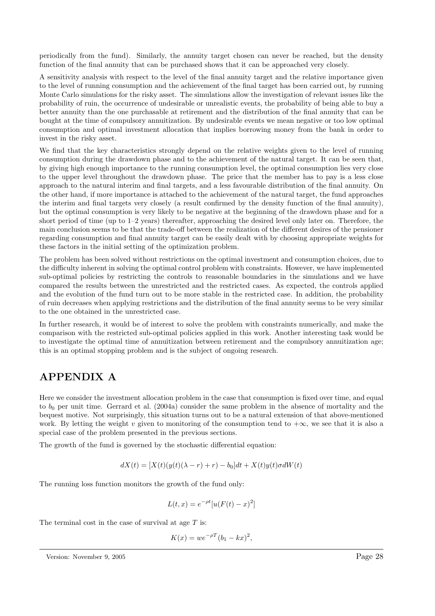periodically from the fund). Similarly, the annuity target chosen can never be reached, but the density function of the final annuity that can be purchased shows that it can be approached very closely.

A sensitivity analysis with respect to the level of the final annuity target and the relative importance given to the level of running consumption and the achievement of the final target has been carried out, by running Monte Carlo simulations for the risky asset. The simulations allow the investigation of relevant issues like the probability of ruin, the occurrence of undesirable or unrealistic events, the probability of being able to buy a better annuity than the one purchasable at retirement and the distribution of the final annuity that can be bought at the time of compulsory annuitization. By undesirable events we mean negative or too low optimal consumption and optimal investment allocation that implies borrowing money from the bank in order to invest in the risky asset.

We find that the key characteristics strongly depend on the relative weights given to the level of running consumption during the drawdown phase and to the achievement of the natural target. It can be seen that, by giving high enough importance to the running consumption level, the optimal consumption lies very close to the upper level throughout the drawdown phase. The price that the member has to pay is a less close approach to the natural interim and final targets, and a less favourable distribution of the final annuity. On the other hand, if more importance is attached to the achievement of the natural target, the fund approaches the interim and final targets very closely (a result confirmed by the density function of the final annuity), but the optimal consumption is very likely to be negative at the beginning of the drawdown phase and for a short period of time (up to  $1-2$  years) thereafter, approaching the desired level only later on. Therefore, the main conclusion seems to be that the trade-off between the realization of the different desires of the pensioner regarding consumption and final annuity target can be easily dealt with by choosing appropriate weights for these factors in the initial setting of the optimization problem.

The problem has been solved without restrictions on the optimal investment and consumption choices, due to the difficulty inherent in solving the optimal control problem with constraints. However, we have implemented sub-optimal policies by restricting the controls to reasonable boundaries in the simulations and we have compared the results between the unrestricted and the restricted cases. As expected, the controls applied and the evolution of the fund turn out to be more stable in the restricted case. In addition, the probability of ruin decreases when applying restrictions and the distribution of the final annuity seems to be very similar to the one obtained in the unrestricted case.

In further research, it would be of interest to solve the problem with constraints numerically, and make the comparison with the restricted sub-optimal policies applied in this work. Another interesting task would be to investigate the optimal time of annuitization between retirement and the compulsory annuitization age; this is an optimal stopping problem and is the subject of ongoing research.

## APPENDIX A

Here we consider the investment allocation problem in the case that consumption is fixed over time, and equal to  $b_0$  per unit time. Gerrard et al. (2004a) consider the same problem in the absence of mortality and the bequest motive. Not surprisingly, this situation turns out to be a natural extension of that above-mentioned work. By letting the weight v given to monitoring of the consumption tend to  $+\infty$ , we see that it is also a special case of the problem presented in the previous sections.

The growth of the fund is governed by the stochastic differential equation:

$$
dX(t) = [X(t)(y(t)(\lambda - r) + r) - b_0]dt + X(t)y(t)\sigma dW(t)
$$

The running loss function monitors the growth of the fund only:

$$
L(t, x) = e^{-\rho t} [u(F(t) - x)^2]
$$

The terminal cost in the case of survival at age  $T$  is:

 $K(x) = we^{-\rho T} (b_1 - kx)^2,$ 

Version: November 9, 2005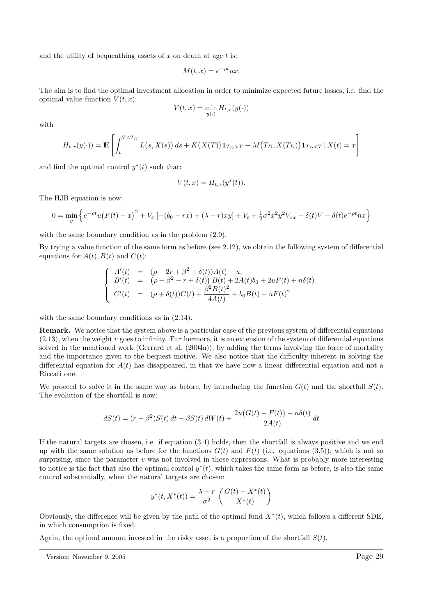and the utility of bequeathing assets of  $x$  on death at age  $t$  is:

$$
M(t, x) = e^{-\rho t} n x.
$$

The aim is to find the optimal investment allocation in order to minimize expected future losses, i.e. find the optimal value function  $V(t, x)$ :

$$
V(t, x) = \min_{y(\cdot)} H_{t, x}(y(\cdot))
$$

with

$$
H_{t,x}(y(\cdot)) = \mathbb{E}\left[\int_t^{T \wedge T_D} L(s, X(s)) ds + K\big(X(T)\big) \mathbf{1}_{T_D > T} - M\big(T_D, X(T_D)\big) \mathbf{1}_{T_D < T} \,|\, X(t) = x\right]
$$

and find the optimal control  $y^*(t)$  such that:

$$
V(t,x) = H_{t,x}(y^*(t)).
$$

The HJB equation is now:

$$
0 = \min_{y} \left\{ e^{-\rho t} u (F(t) - x)^2 + V_x \left[ -(b_0 - rx) + (\lambda - r)xy \right] + V_t + \frac{1}{2} \sigma^2 x^2 y^2 V_{xx} - \delta(t) V - \delta(t) e^{-\rho t} n x \right\}
$$

with the same boundary condition as in the problem  $(2.9)$ .

By trying a value function of the same form as before (see 2.12), we obtain the following system of differential equations for  $A(t)$ ,  $B(t)$  and  $C(t)$ :

$$
\left\{\begin{array}{rcl} A'(t)&=&(\rho-2r+\beta^2+\delta(t))A(t)-u,\\ B'(t)&=&\left(\rho+\beta^2-r+\delta(t)\right)B(t)+2A(t)b_0+2uF(t)+n\delta(t)\\ C'(t)&=&(\rho+\delta(t))C(t)+\frac{\beta^2B(t)^2}{4A(t)}+b_0B(t)-uF(t)^2 \end{array}\right.
$$

with the same boundary conditions as in  $(2.14)$ .

Remark. We notice that the system above is a particular case of the previous system of differential equations  $(2.13)$ , when the weight v goes to infinity. Furthermore, it is an extension of the system of differential equations solved in the mentioned work (Gerrard et al. (2004a)), by adding the terms involving the force of mortality and the importance given to the bequest motive. We also notice that the difficulty inherent in solving the differential equation for  $A(t)$  has disappeared, in that we have now a linear differential equation and not a Riccati one.

We proceed to solve it in the same way as before, by introducing the function  $G(t)$  and the shortfall  $S(t)$ . The evolution of the shortfall is now:

$$
dS(t) = (r - \beta^{2})S(t) dt - \beta S(t) dW(t) + \frac{2u(G(t) - F(t)) - n\delta(t)}{2A(t)} dt
$$

If the natural targets are chosen, i.e. if equation (3.4) holds, then the shortfall is always positive and we end up with the same solution as before for the functions  $G(t)$  and  $F(t)$  (i.e. equations (3.5)), which is not so surprising, since the parameter  $v$  was not involved in those expressions. What is probably more interesting to notice is the fact that also the optimal control  $y^*(t)$ , which takes the same form as before, is also the same control substantially, when the natural targets are chosen:

$$
y^*(t, X^*(t)) = \frac{\lambda - r}{\sigma^2} \left( \frac{G(t) - X^*(t)}{X^*(t)} \right)
$$

Obviously, the difference will be given by the path of the optimal fund  $X^*(t)$ , which follows a different SDE, in which consumption is fixed.

Again, the optimal amount invested in the risky asset is a proportion of the shortfall  $S(t)$ .

Version: November 9, 2005 Page 29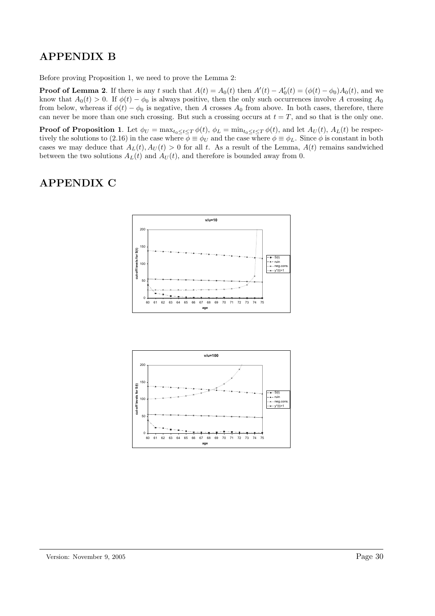## APPENDIX B

Before proving Proposition 1, we need to prove the Lemma 2:

**Proof of Lemma 2**. If there is any t such that  $A(t) = A_0(t)$  then  $A'(t) - A'_0(t) = (\phi(t) - \phi_0)A_0(t)$ , and we know that  $A_0(t) > 0$ . If  $\phi(t) - \phi_0$  is always positive, then the only such occurrences involve A crossing  $A_0$ from below, whereas if  $\phi(t) - \phi_0$  is negative, then A crosses  $A_0$  from above. In both cases, therefore, there can never be more than one such crossing. But such a crossing occurs at  $t = T$ , and so that is the only one.

**Proof of Proposition 1.** Let  $\phi_U = \max_{t_0 \le t \le T} \phi(t)$ ,  $\phi_L = \min_{t_0 \le t \le T} \phi(t)$ , and let  $A_U(t)$ ,  $A_L(t)$  be respectively the solutions to (2.16) in the case where  $\phi \equiv \phi_U$  and the case where  $\phi \equiv \phi_L$ . Since  $\phi$  is constant in both cases we may deduce that  $A_L(t), A_U(t) > 0$  for all t. As a result of the Lemma,  $A(t)$  remains sandwiched between the two solutions  $A_L(t)$  and  $A_U(t)$ , and therefore is bounded away from 0.

## APPENDIX C



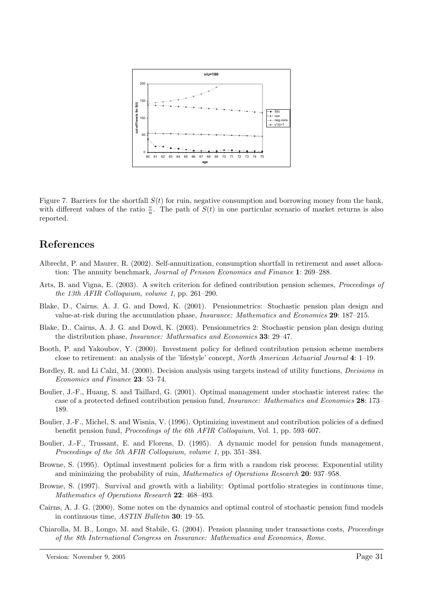

Figure 7. Barriers for the shortfall  $S(t)$  for ruin, negative consumption and borrowing money from the bank, with different values of the ratio  $\frac{v}{u}$ . The path of  $S(t)$  in one particular scenario of market returns is also reported.

#### References

- Albrecht, P. and Maurer, R. (2002). Self-annuitization, consumption shortfall in retirement and asset allocation: The annuity benchmark, Journal of Pension Economics and Finance 1: 269–288.
- Arts, B. and Vigna, E. (2003). A switch criterion for defined contribution pension schemes, Proceedings of the 13th AFIR Colloquium, volume 1, pp. 261–290.
- Blake, D., Cairns, A. J. G. and Dowd, K. (2001). Pensionmetrics: Stochastic pension plan design and value-at-risk during the accumulation phase, Insurance: Mathematics and Economics 29: 187–215.
- Blake, D., Cairns, A. J. G. and Dowd, K. (2003). Pensionmetrics 2: Stochastic pension plan design during the distribution phase, Insurance: Mathematics and Economics 33: 29–47.
- Booth, P. and Yakoubov, Y. (2000). Investment policy for defined contribution pension scheme members close to retirement: an analysis of the 'lifestyle' concept, North American Actuarial Journal 4: 1–19.
- Bordley, R. and Li Calzi, M. (2000). Decision analysis using targets instead of utility functions, *Decisions in* Economics and Finance 23: 53–74.
- Boulier, J.-F., Huang, S. and Taillard, G. (2001). Optimal management under stochastic interest rates: the case of a protected defined contribution pension fund, Insurance: Mathematics and Economics 28: 173– 189.
- Boulier, J.-F., Michel, S. and Wisnia, V. (1996). Optimizing investment and contribution policies of a defined benefit pension fund, Proceedings of the 6th AFIR Colloquium, Vol. 1, pp. 593–607.
- Boulier, J.-F., Trussant, E. and Florens, D. (1995). A dynamic model for pension funds management, Proceedings of the 5th AFIR Colloquium, volume 1, pp. 351–384.
- Browne, S. (1995). Optimal investment policies for a firm with a random risk process: Exponential utility and minimizing the probability of ruin, Mathematics of Operations Research 20: 937–958.
- Browne, S. (1997). Survival and growth with a liability: Optimal portfolio strategies in continuous time, Mathematics of Operations Research 22: 468–493.
- Cairns, A. J. G. (2000). Some notes on the dynamics and optimal control of stochastic pension fund models in continuous time, ASTIN Bulletin 30: 19–55.
- Chiarolla, M. B., Longo, M. and Stabile, G. (2004). Pension planning under transactions costs, Proceedings of the 8th International Congress on Insurance: Mathematics and Economics, Rome.

Version: November 9, 2005 Page 31